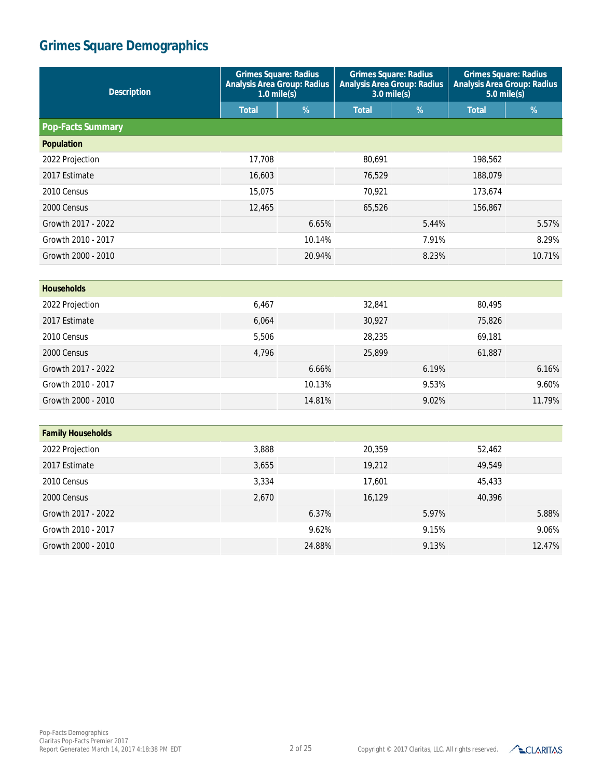| <b>Description</b>       | <b>Grimes Square: Radius</b><br><b>Analysis Area Group: Radius</b><br>$1.0$ mile(s) |        | <b>Grimes Square: Radius</b><br><b>Analysis Area Group: Radius</b><br>$3.0$ mile(s) |       | <b>Grimes Square: Radius</b><br><b>Analysis Area Group: Radius</b><br>$5.0$ mile(s) |        |
|--------------------------|-------------------------------------------------------------------------------------|--------|-------------------------------------------------------------------------------------|-------|-------------------------------------------------------------------------------------|--------|
|                          | <b>Total</b>                                                                        | %      | <b>Total</b>                                                                        | %     | <b>Total</b>                                                                        | %      |
| <b>Pop-Facts Summary</b> |                                                                                     |        |                                                                                     |       |                                                                                     |        |
| <b>Population</b>        |                                                                                     |        |                                                                                     |       |                                                                                     |        |
| 2022 Projection          | 17,708                                                                              |        | 80,691                                                                              |       | 198,562                                                                             |        |
| 2017 Estimate            | 16,603                                                                              |        | 76,529                                                                              |       | 188,079                                                                             |        |
| 2010 Census              | 15,075                                                                              |        | 70,921                                                                              |       | 173,674                                                                             |        |
| 2000 Census              | 12,465                                                                              |        | 65,526                                                                              |       | 156,867                                                                             |        |
| Growth 2017 - 2022       |                                                                                     | 6.65%  |                                                                                     | 5.44% |                                                                                     | 5.57%  |
| Growth 2010 - 2017       |                                                                                     | 10.14% |                                                                                     | 7.91% |                                                                                     | 8.29%  |
| Growth 2000 - 2010       |                                                                                     | 20.94% |                                                                                     | 8.23% |                                                                                     | 10.71% |
|                          |                                                                                     |        |                                                                                     |       |                                                                                     |        |
| <b>Households</b>        |                                                                                     |        |                                                                                     |       |                                                                                     |        |
| 2022 Projection          | 6,467                                                                               |        | 32,841                                                                              |       | 80,495                                                                              |        |
| 2017 Estimate            | 6,064                                                                               |        | 30,927                                                                              |       | 75,826                                                                              |        |
| 2010 Census              | 5,506                                                                               |        | 28,235                                                                              |       | 69,181                                                                              |        |
| 2000 Census              | 4,796                                                                               |        | 25,899                                                                              |       | 61,887                                                                              |        |
| Growth 2017 - 2022       |                                                                                     | 6.66%  |                                                                                     | 6.19% |                                                                                     | 6.16%  |
| Growth 2010 - 2017       |                                                                                     | 10.13% |                                                                                     | 9.53% |                                                                                     | 9.60%  |
| Growth 2000 - 2010       |                                                                                     | 14.81% |                                                                                     | 9.02% |                                                                                     | 11.79% |
|                          |                                                                                     |        |                                                                                     |       |                                                                                     |        |
| <b>Family Households</b> |                                                                                     |        |                                                                                     |       |                                                                                     |        |
| 2022 Projection          | 3,888                                                                               |        | 20,359                                                                              |       | 52,462                                                                              |        |
| 2017 Estimate            | 3,655                                                                               |        | 19,212                                                                              |       | 49,549                                                                              |        |
| 2010 Census              | 3,334                                                                               |        | 17,601                                                                              |       | 45,433                                                                              |        |
| 2000 Census              | 2,670                                                                               |        | 16,129                                                                              |       | 40,396                                                                              |        |
| Growth 2017 - 2022       |                                                                                     | 6.37%  |                                                                                     | 5.97% |                                                                                     | 5.88%  |



Growth 2010 - 2017 **9.06%** 9.06% 9.15% 9.06% Growth 2000 - 2010 24.88% 9.13% 12.47%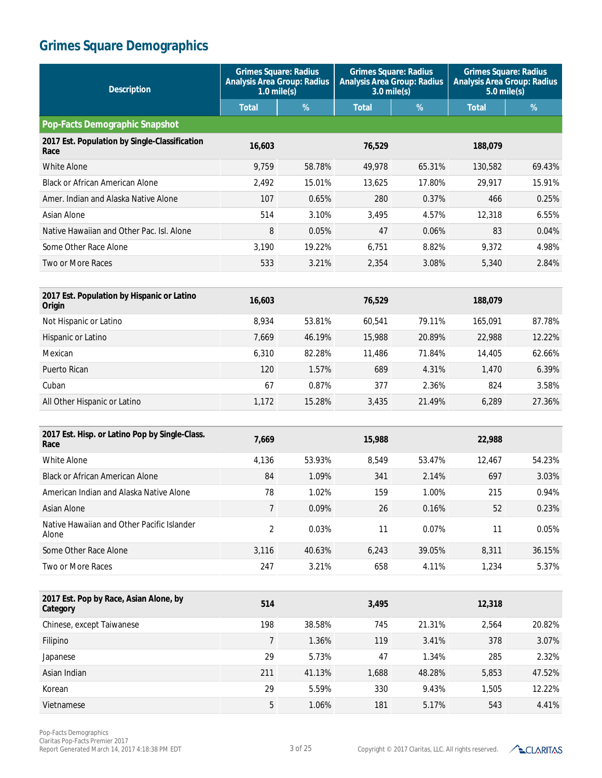| <b>Description</b>                                     | <b>Grimes Square: Radius</b><br><b>Analysis Area Group: Radius</b><br>$1.0$ mile(s) |        | <b>Grimes Square: Radius</b><br><b>Analysis Area Group: Radius</b><br>$3.0$ mile(s) |        | <b>Grimes Square: Radius</b><br><b>Analysis Area Group: Radius</b><br>$5.0$ mile(s) |        |
|--------------------------------------------------------|-------------------------------------------------------------------------------------|--------|-------------------------------------------------------------------------------------|--------|-------------------------------------------------------------------------------------|--------|
|                                                        | <b>Total</b>                                                                        | %      | <b>Total</b>                                                                        | %      | <b>Total</b>                                                                        | %      |
| <b>Pop-Facts Demographic Snapshot</b>                  |                                                                                     |        |                                                                                     |        |                                                                                     |        |
| 2017 Est. Population by Single-Classification<br>Race  | 16,603                                                                              |        | 76,529                                                                              |        | 188,079                                                                             |        |
| White Alone                                            | 9,759                                                                               | 58.78% | 49,978                                                                              | 65.31% | 130.582                                                                             | 69.43% |
| <b>Black or African American Alone</b>                 | 2,492                                                                               | 15.01% | 13,625                                                                              | 17.80% | 29,917                                                                              | 15.91% |
| Amer. Indian and Alaska Native Alone                   | 107                                                                                 | 0.65%  | 280                                                                                 | 0.37%  | 466                                                                                 | 0.25%  |
| Asian Alone                                            | 514                                                                                 | 3.10%  | 3,495                                                                               | 4.57%  | 12,318                                                                              | 6.55%  |
| Native Hawaiian and Other Pac. Isl. Alone              | 8                                                                                   | 0.05%  | 47                                                                                  | 0.06%  | 83                                                                                  | 0.04%  |
| Some Other Race Alone                                  | 3,190                                                                               | 19.22% | 6,751                                                                               | 8.82%  | 9,372                                                                               | 4.98%  |
| <b>Two or More Races</b>                               | 533                                                                                 | 3.21%  | 2,354                                                                               | 3.08%  | 5,340                                                                               | 2.84%  |
|                                                        |                                                                                     |        |                                                                                     |        |                                                                                     |        |
| 2017 Est. Population by Hispanic or Latino<br>Origin   | 16,603                                                                              |        | 76,529                                                                              |        | 188,079                                                                             |        |
| Not Hispanic or Latino                                 | 8,934                                                                               | 53.81% | 60,541                                                                              | 79.11% | 165,091                                                                             | 87.78% |
| Hispanic or Latino                                     | 7,669                                                                               | 46.19% | 15,988                                                                              | 20.89% | 22,988                                                                              | 12.22% |
| Mexican                                                | 6,310                                                                               | 82.28% | 11,486                                                                              | 71.84% | 14,405                                                                              | 62.66% |
| Puerto Rican                                           | 120                                                                                 | 1.57%  | 689                                                                                 | 4.31%  | 1,470                                                                               | 6.39%  |
| Cuban                                                  | 67                                                                                  | 0.87%  | 377                                                                                 | 2.36%  | 824                                                                                 | 3.58%  |
| All Other Hispanic or Latino                           | 1,172                                                                               | 15.28% | 3,435                                                                               | 21.49% | 6,289                                                                               | 27.36% |
|                                                        |                                                                                     |        |                                                                                     |        |                                                                                     |        |
| 2017 Est. Hisp. or Latino Pop by Single-Class.<br>Race | 7,669                                                                               |        | 15,988                                                                              |        | 22,988                                                                              |        |
| <b>White Alone</b>                                     | 4,136                                                                               | 53.93% | 8,549                                                                               | 53.47% | 12,467                                                                              | 54.23% |
| <b>Black or African American Alone</b>                 | 84                                                                                  | 1.09%  | 341                                                                                 | 2.14%  | 697                                                                                 | 3.03%  |
| American Indian and Alaska Native Alone                | 78                                                                                  | 1.02%  | 159                                                                                 | 1.00%  | 215                                                                                 | 0.94%  |
| Asian Alone                                            | $\overline{7}$                                                                      | 0.09%  | 26                                                                                  | 0.16%  | 52                                                                                  | 0.23%  |
| Native Hawaiian and Other Pacific Islander<br>Alone    | $\overline{c}$                                                                      | 0.03%  | 11                                                                                  | 0.07%  | 11                                                                                  | 0.05%  |
| Some Other Race Alone                                  | 3,116                                                                               | 40.63% | 6,243                                                                               | 39.05% | 8,311                                                                               | 36.15% |
| Two or More Races                                      | 247                                                                                 | 3.21%  | 658                                                                                 | 4.11%  | 1,234                                                                               | 5.37%  |
|                                                        |                                                                                     |        |                                                                                     |        |                                                                                     |        |
| 2017 Est. Pop by Race, Asian Alone, by<br>Category     | 514                                                                                 |        | 3,495                                                                               |        | 12,318                                                                              |        |
| Chinese, except Taiwanese                              | 198                                                                                 | 38.58% | 745                                                                                 | 21.31% | 2,564                                                                               | 20.82% |
| Filipino                                               | 7                                                                                   | 1.36%  | 119                                                                                 | 3.41%  | 378                                                                                 | 3.07%  |
| Japanese                                               | 29                                                                                  | 5.73%  | 47                                                                                  | 1.34%  | 285                                                                                 | 2.32%  |
| Asian Indian                                           | 211                                                                                 | 41.13% | 1,688                                                                               | 48.28% | 5,853                                                                               | 47.52% |
| Korean                                                 | 29                                                                                  | 5.59%  | 330                                                                                 | 9.43%  | 1,505                                                                               | 12.22% |
| Vietnamese                                             | 5                                                                                   | 1.06%  | 181                                                                                 | 5.17%  | 543                                                                                 | 4.41%  |

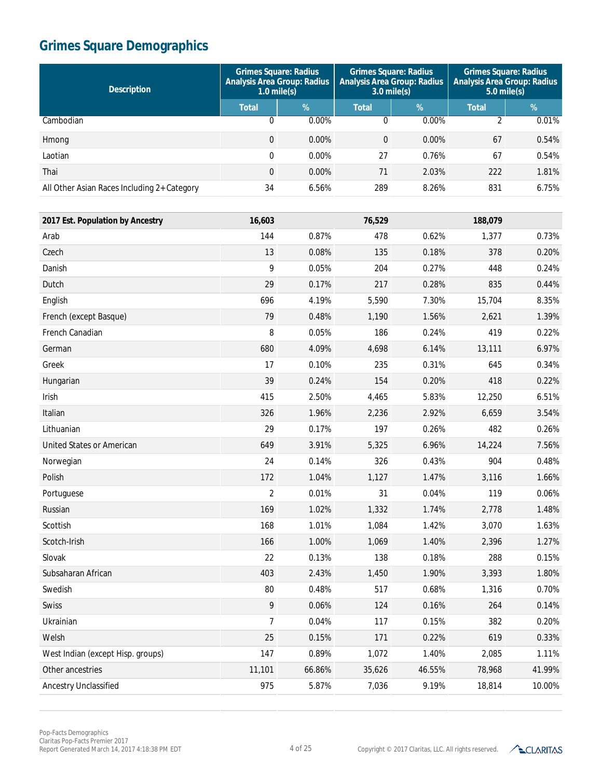| <b>Description</b>                          | <b>Grimes Square: Radius</b><br><b>Analysis Area Group: Radius</b><br>$1.0 \text{ mile(s)}$ |          | <b>Grimes Square: Radius</b><br><b>Analysis Area Group: Radius</b><br>$3.0 \text{ mile(s)}$ |               | <b>Grimes Square: Radius</b><br><b>Analysis Area Group: Radius</b><br>$5.0$ mile(s) |            |
|---------------------------------------------|---------------------------------------------------------------------------------------------|----------|---------------------------------------------------------------------------------------------|---------------|-------------------------------------------------------------------------------------|------------|
|                                             | <b>Total</b>                                                                                | $\%$     | <b>Total</b>                                                                                | $\frac{9}{6}$ | <b>Total</b>                                                                        | $\sqrt{2}$ |
| Cambodian                                   | 0                                                                                           | $0.00\%$ | 0                                                                                           | 0.00%         |                                                                                     | 0.01%      |
| Hmong                                       | $\Omega$                                                                                    | $0.00\%$ | $\Omega$                                                                                    | 0.00%         | 67                                                                                  | 0.54%      |
| Laotian                                     | 0                                                                                           | $0.00\%$ | 27                                                                                          | 0.76%         | 67                                                                                  | 0.54%      |
| Thai                                        | $\Omega$                                                                                    | 0.00%    | 71                                                                                          | 2.03%         | 222                                                                                 | 1.81%      |
| All Other Asian Races Including 2+ Category | 34                                                                                          | 6.56%    | 289                                                                                         | 8.26%         | 831                                                                                 | 6.75%      |

| 2017 Est. Population by Ancestry  | 16,603         |        | 76,529 |        | 188,079 |        |
|-----------------------------------|----------------|--------|--------|--------|---------|--------|
| Arab                              | 144            | 0.87%  | 478    | 0.62%  | 1,377   | 0.73%  |
| Czech                             | 13             | 0.08%  | 135    | 0.18%  | 378     | 0.20%  |
| Danish                            | 9              | 0.05%  | 204    | 0.27%  | 448     | 0.24%  |
| Dutch                             | 29             | 0.17%  | 217    | 0.28%  | 835     | 0.44%  |
| English                           | 696            | 4.19%  | 5,590  | 7.30%  | 15,704  | 8.35%  |
| French (except Basque)            | 79             | 0.48%  | 1,190  | 1.56%  | 2,621   | 1.39%  |
| French Canadian                   | 8              | 0.05%  | 186    | 0.24%  | 419     | 0.22%  |
| German                            | 680            | 4.09%  | 4,698  | 6.14%  | 13,111  | 6.97%  |
| Greek                             | 17             | 0.10%  | 235    | 0.31%  | 645     | 0.34%  |
| Hungarian                         | 39             | 0.24%  | 154    | 0.20%  | 418     | 0.22%  |
| Irish                             | 415            | 2.50%  | 4,465  | 5.83%  | 12,250  | 6.51%  |
| Italian                           | 326            | 1.96%  | 2,236  | 2.92%  | 6,659   | 3.54%  |
| Lithuanian                        | 29             | 0.17%  | 197    | 0.26%  | 482     | 0.26%  |
| United States or American         | 649            | 3.91%  | 5,325  | 6.96%  | 14,224  | 7.56%  |
| Norwegian                         | 24             | 0.14%  | 326    | 0.43%  | 904     | 0.48%  |
| Polish                            | 172            | 1.04%  | 1,127  | 1.47%  | 3,116   | 1.66%  |
| Portuguese                        | $\overline{2}$ | 0.01%  | 31     | 0.04%  | 119     | 0.06%  |
| Russian                           | 169            | 1.02%  | 1,332  | 1.74%  | 2,778   | 1.48%  |
| Scottish                          | 168            | 1.01%  | 1,084  | 1.42%  | 3,070   | 1.63%  |
| Scotch-Irish                      | 166            | 1.00%  | 1,069  | 1.40%  | 2,396   | 1.27%  |
| Slovak                            | 22             | 0.13%  | 138    | 0.18%  | 288     | 0.15%  |
| Subsaharan African                | 403            | 2.43%  | 1,450  | 1.90%  | 3,393   | 1.80%  |
| Swedish                           | 80             | 0.48%  | 517    | 0.68%  | 1,316   | 0.70%  |
| Swiss                             | 9              | 0.06%  | 124    | 0.16%  | 264     | 0.14%  |
| Ukrainian                         | $\overline{7}$ | 0.04%  | 117    | 0.15%  | 382     | 0.20%  |
| Welsh                             | 25             | 0.15%  | 171    | 0.22%  | 619     | 0.33%  |
| West Indian (except Hisp. groups) | 147            | 0.89%  | 1,072  | 1.40%  | 2,085   | 1.11%  |
| Other ancestries                  | 11,101         | 66.86% | 35,626 | 46.55% | 78,968  | 41.99% |
| Ancestry Unclassified             | 975            | 5.87%  | 7,036  | 9.19%  | 18,814  | 10.00% |

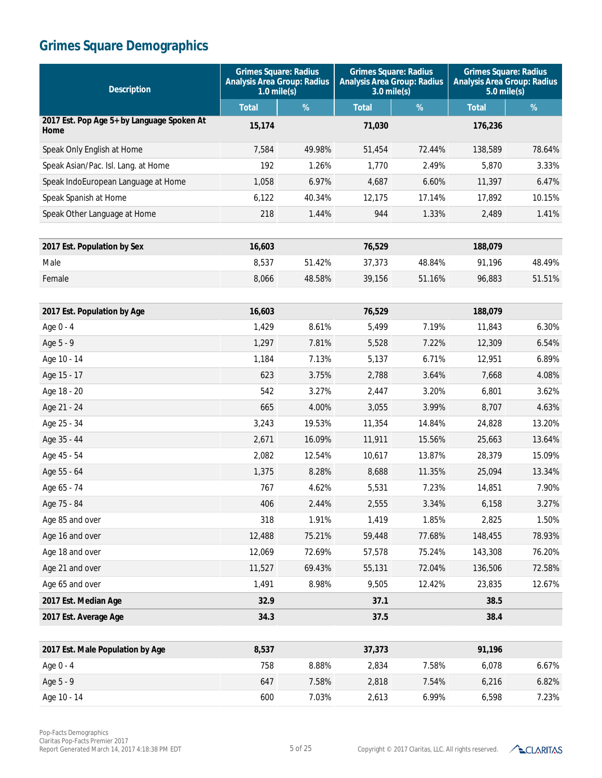| <b>Description</b>                                 | <b>Grimes Square: Radius</b><br><b>Analysis Area Group: Radius</b><br>$1.0$ mile(s) |        | <b>Grimes Square: Radius</b><br><b>Analysis Area Group: Radius</b><br>$3.0$ mile(s) |        | <b>Grimes Square: Radius</b><br><b>Analysis Area Group: Radius</b><br>$5.0$ mile(s) |        |
|----------------------------------------------------|-------------------------------------------------------------------------------------|--------|-------------------------------------------------------------------------------------|--------|-------------------------------------------------------------------------------------|--------|
|                                                    | <b>Total</b>                                                                        | %      | <b>Total</b>                                                                        | $\%$   | <b>Total</b>                                                                        | %      |
| 2017 Est. Pop Age 5+ by Language Spoken At<br>Home | 15,174                                                                              |        | 71,030                                                                              |        | 176,236                                                                             |        |
| Speak Only English at Home                         | 7,584                                                                               | 49.98% | 51,454                                                                              | 72.44% | 138,589                                                                             | 78.64% |
| Speak Asian/Pac. Isl. Lang. at Home                | 192                                                                                 | 1.26%  | 1.770                                                                               | 2.49%  | 5,870                                                                               | 3.33%  |
| Speak IndoEuropean Language at Home                | 1,058                                                                               | 6.97%  | 4,687                                                                               | 6.60%  | 11,397                                                                              | 6.47%  |
| Speak Spanish at Home                              | 6,122                                                                               | 40.34% | 12,175                                                                              | 17.14% | 17,892                                                                              | 10.15% |
| Speak Other Language at Home                       | 218                                                                                 | 1.44%  | 944                                                                                 | 1.33%  | 2,489                                                                               | 1.41%  |
| 2017 Est. Population by Sex                        | 16,603                                                                              |        | 76,529                                                                              |        | 188,079                                                                             |        |
| Male                                               | 8,537                                                                               | 51.42% | 37,373                                                                              | 48.84% | 91,196                                                                              | 48.49% |
| Female                                             | 8,066                                                                               | 48.58% | 39,156                                                                              | 51.16% | 96,883                                                                              | 51.51% |
| 2017 Est. Population by Age                        | 16,603                                                                              |        | 76,529                                                                              |        | 188,079                                                                             |        |
| Age 0 - 4                                          | 1,429                                                                               | 8.61%  | 5,499                                                                               | 7.19%  | 11,843                                                                              | 6.30%  |
| Age 5 - 9                                          | 1,297                                                                               | 7.81%  | 5,528                                                                               | 7.22%  | 12,309                                                                              | 6.54%  |
| Age 10 - 14                                        | 1,184                                                                               | 7.13%  | 5,137                                                                               | 6.71%  | 12,951                                                                              | 6.89%  |
| Age 15 - 17                                        | 623                                                                                 | 3.75%  | 2,788                                                                               | 3.64%  | 7,668                                                                               | 4.08%  |
| Age 18 - 20                                        | 542                                                                                 | 3.27%  | 2,447                                                                               | 3.20%  | 6,801                                                                               | 3.62%  |
| Age 21 - 24                                        | 665                                                                                 | 4.00%  | 3,055                                                                               | 3.99%  | 8,707                                                                               | 4.63%  |
| Age 25 - 34                                        | 3,243                                                                               | 19.53% | 11,354                                                                              | 14.84% | 24,828                                                                              | 13.20% |
| Age 35 - 44                                        | 2,671                                                                               | 16.09% | 11,911                                                                              | 15.56% | 25,663                                                                              | 13.64% |
| Age 45 - 54                                        | 2,082                                                                               | 12.54% | 10,617                                                                              | 13.87% | 28,379                                                                              | 15.09% |
| Age 55 - 64                                        | 1,375                                                                               | 8.28%  | 8,688                                                                               | 11.35% | 25,094                                                                              | 13.34% |
| Age 65 - 74                                        | 767                                                                                 | 4.62%  | 5,531                                                                               | 7.23%  | 14,851                                                                              | 7.90%  |
| Age 75 - 84                                        | 406                                                                                 | 2.44%  | 2,555                                                                               | 3.34%  | 6,158                                                                               | 3.27%  |
| Age 85 and over                                    | 318                                                                                 | 1.91%  | 1,419                                                                               | 1.85%  | 2,825                                                                               | 1.50%  |
| Age 16 and over                                    | 12,488                                                                              | 75.21% | 59,448                                                                              | 77.68% | 148,455                                                                             | 78.93% |
| Age 18 and over                                    | 12,069                                                                              | 72.69% | 57,578                                                                              | 75.24% | 143,308                                                                             | 76.20% |
| Age 21 and over                                    | 11,527                                                                              | 69.43% | 55,131                                                                              | 72.04% | 136,506                                                                             | 72.58% |
| Age 65 and over                                    | 1,491                                                                               | 8.98%  | 9,505                                                                               | 12.42% | 23,835                                                                              | 12.67% |
| 2017 Est. Median Age                               | 32.9                                                                                |        | 37.1                                                                                |        | 38.5                                                                                |        |
| 2017 Est. Average Age                              | 34.3                                                                                |        | 37.5                                                                                |        | 38.4                                                                                |        |
| 2017 Est. Male Population by Age                   | 8,537                                                                               |        | 37,373                                                                              |        | 91,196                                                                              |        |
| Age 0 - 4                                          | 758                                                                                 | 8.88%  | 2,834                                                                               | 7.58%  | 6,078                                                                               | 6.67%  |
| Age 5 - 9                                          | 647                                                                                 | 7.58%  | 2,818                                                                               | 7.54%  | 6,216                                                                               | 6.82%  |
| Age 10 - 14                                        | 600                                                                                 | 7.03%  | 2,613                                                                               | 6.99%  | 6,598                                                                               | 7.23%  |
|                                                    |                                                                                     |        |                                                                                     |        |                                                                                     |        |

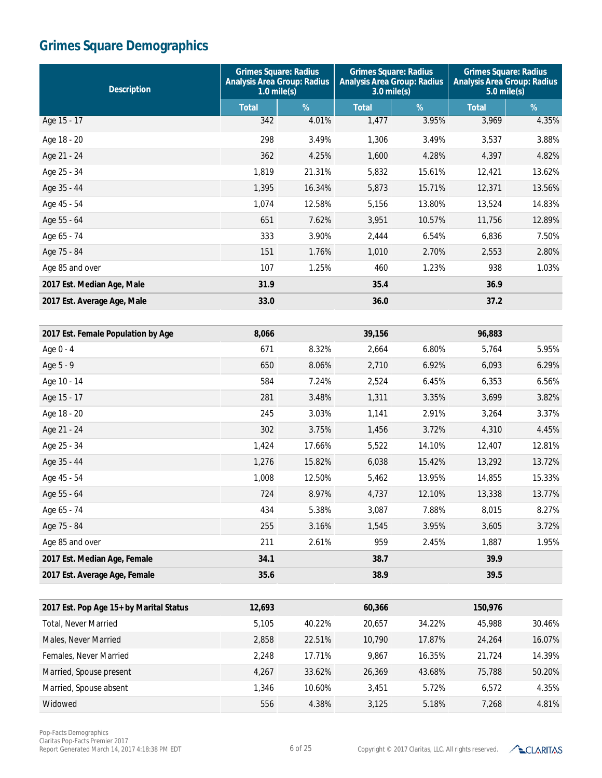| <b>Description</b>                      | <b>Grimes Square: Radius</b><br><b>Analysis Area Group: Radius</b><br>$1.0$ mile(s) |        | <b>Grimes Square: Radius</b><br><b>Analysis Area Group: Radius</b><br>$3.0$ mile(s) |        | <b>Grimes Square: Radius</b><br><b>Analysis Area Group: Radius</b><br>$5.0$ mile(s) |        |
|-----------------------------------------|-------------------------------------------------------------------------------------|--------|-------------------------------------------------------------------------------------|--------|-------------------------------------------------------------------------------------|--------|
|                                         | <b>Total</b>                                                                        | %      | <b>Total</b>                                                                        | %      | <b>Total</b>                                                                        | %      |
| Age 15 - 17                             | 342                                                                                 | 4.01%  | 1,477                                                                               | 3.95%  | 3,969                                                                               | 4.35%  |
| Age 18 - 20                             | 298                                                                                 | 3.49%  | 1,306                                                                               | 3.49%  | 3,537                                                                               | 3.88%  |
| Age 21 - 24                             | 362                                                                                 | 4.25%  | 1,600                                                                               | 4.28%  | 4,397                                                                               | 4.82%  |
| Age 25 - 34                             | 1,819                                                                               | 21.31% | 5,832                                                                               | 15.61% | 12,421                                                                              | 13.62% |
| Age 35 - 44                             | 1,395                                                                               | 16.34% | 5,873                                                                               | 15.71% | 12,371                                                                              | 13.56% |
| Age 45 - 54                             | 1,074                                                                               | 12.58% | 5,156                                                                               | 13.80% | 13,524                                                                              | 14.83% |
| Age 55 - 64                             | 651                                                                                 | 7.62%  | 3,951                                                                               | 10.57% | 11,756                                                                              | 12.89% |
| Age 65 - 74                             | 333                                                                                 | 3.90%  | 2,444                                                                               | 6.54%  | 6,836                                                                               | 7.50%  |
| Age 75 - 84                             | 151                                                                                 | 1.76%  | 1,010                                                                               | 2.70%  | 2,553                                                                               | 2.80%  |
| Age 85 and over                         | 107                                                                                 | 1.25%  | 460                                                                                 | 1.23%  | 938                                                                                 | 1.03%  |
| 2017 Est. Median Age, Male              | 31.9                                                                                |        | 35.4                                                                                |        | 36.9                                                                                |        |
| 2017 Est. Average Age, Male             | 33.0                                                                                |        | 36.0                                                                                |        | 37.2                                                                                |        |
|                                         |                                                                                     |        |                                                                                     |        |                                                                                     |        |
| 2017 Est. Female Population by Age      | 8,066                                                                               |        | 39,156                                                                              |        | 96,883                                                                              |        |
| Age 0 - 4                               | 671                                                                                 | 8.32%  | 2,664                                                                               | 6.80%  | 5,764                                                                               | 5.95%  |
| Age 5 - 9                               | 650                                                                                 | 8.06%  | 2,710                                                                               | 6.92%  | 6,093                                                                               | 6.29%  |
| Age 10 - 14                             | 584                                                                                 | 7.24%  | 2,524                                                                               | 6.45%  | 6,353                                                                               | 6.56%  |
| Age 15 - 17                             | 281                                                                                 | 3.48%  | 1,311                                                                               | 3.35%  | 3,699                                                                               | 3.82%  |
| Age 18 - 20                             | 245                                                                                 | 3.03%  | 1,141                                                                               | 2.91%  | 3,264                                                                               | 3.37%  |
| Age 21 - 24                             | 302                                                                                 | 3.75%  | 1,456                                                                               | 3.72%  | 4,310                                                                               | 4.45%  |
| Age 25 - 34                             | 1,424                                                                               | 17.66% | 5,522                                                                               | 14.10% | 12,407                                                                              | 12.81% |
| Age 35 - 44                             | 1,276                                                                               | 15.82% | 6,038                                                                               | 15.42% | 13,292                                                                              | 13.72% |
| Age 45 - 54                             | 1,008                                                                               | 12.50% | 5,462                                                                               | 13.95% | 14,855                                                                              | 15.33% |
| Age 55 - 64                             | 724                                                                                 | 8.97%  | 4,737                                                                               | 12.10% | 13,338                                                                              | 13.77% |
| Age 65 - 74                             | 434                                                                                 | 5.38%  | 3,087                                                                               | 7.88%  | 8,015                                                                               | 8.27%  |
| Age 75 - 84                             | 255                                                                                 | 3.16%  | 1,545                                                                               | 3.95%  | 3,605                                                                               | 3.72%  |
| Age 85 and over                         | 211                                                                                 | 2.61%  | 959                                                                                 | 2.45%  | 1,887                                                                               | 1.95%  |
| 2017 Est. Median Age, Female            | 34.1                                                                                |        | 38.7                                                                                |        | 39.9                                                                                |        |
| 2017 Est. Average Age, Female           | 35.6                                                                                |        | 38.9                                                                                |        | 39.5                                                                                |        |
|                                         |                                                                                     |        |                                                                                     |        |                                                                                     |        |
| 2017 Est. Pop Age 15+ by Marital Status | 12,693                                                                              |        | 60,366                                                                              |        | 150,976                                                                             |        |
| Total, Never Married                    | 5,105                                                                               | 40.22% | 20,657                                                                              | 34.22% | 45,988                                                                              | 30.46% |
| Males, Never Married                    | 2,858                                                                               | 22.51% | 10,790                                                                              | 17.87% | 24,264                                                                              | 16.07% |
| Females, Never Married                  | 2,248                                                                               | 17.71% | 9,867                                                                               | 16.35% | 21,724                                                                              | 14.39% |
| Married, Spouse present                 | 4,267                                                                               | 33.62% | 26,369                                                                              | 43.68% | 75,788                                                                              | 50.20% |
| Married, Spouse absent                  | 1,346                                                                               | 10.60% | 3,451                                                                               | 5.72%  | 6,572                                                                               | 4.35%  |
| Widowed                                 | 556                                                                                 | 4.38%  | 3,125                                                                               | 5.18%  | 7,268                                                                               | 4.81%  |

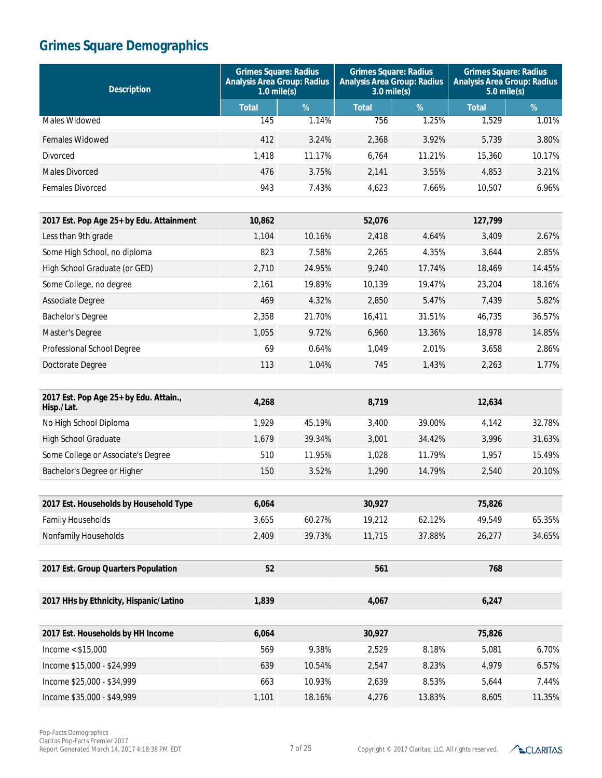| <b>Description</b>                                   | <b>Grimes Square: Radius</b><br><b>Analysis Area Group: Radius</b><br>$1.0$ mile(s) |        | <b>Grimes Square: Radius</b><br><b>Analysis Area Group: Radius</b><br>$3.0$ mile(s) |        | <b>Grimes Square: Radius</b><br><b>Analysis Area Group: Radius</b><br>$5.0$ mile(s) |        |
|------------------------------------------------------|-------------------------------------------------------------------------------------|--------|-------------------------------------------------------------------------------------|--------|-------------------------------------------------------------------------------------|--------|
|                                                      | <b>Total</b>                                                                        | %      | <b>Total</b>                                                                        | $\%$   | <b>Total</b>                                                                        | $\%$   |
| Males Widowed                                        | 145                                                                                 | 1.14%  | 756                                                                                 | 1.25%  | 1,529                                                                               | 1.01%  |
| <b>Females Widowed</b>                               | 412                                                                                 | 3.24%  | 2,368                                                                               | 3.92%  | 5,739                                                                               | 3.80%  |
| Divorced                                             | 1,418                                                                               | 11.17% | 6,764                                                                               | 11.21% | 15,360                                                                              | 10.17% |
| <b>Males Divorced</b>                                | 476                                                                                 | 3.75%  | 2,141                                                                               | 3.55%  | 4,853                                                                               | 3.21%  |
| Females Divorced                                     | 943                                                                                 | 7.43%  | 4,623                                                                               | 7.66%  | 10,507                                                                              | 6.96%  |
|                                                      |                                                                                     |        |                                                                                     |        |                                                                                     |        |
| 2017 Est. Pop Age 25+ by Edu. Attainment             | 10,862                                                                              |        | 52,076                                                                              |        | 127,799                                                                             |        |
| Less than 9th grade                                  | 1,104                                                                               | 10.16% | 2,418                                                                               | 4.64%  | 3,409                                                                               | 2.67%  |
| Some High School, no diploma                         | 823                                                                                 | 7.58%  | 2,265                                                                               | 4.35%  | 3,644                                                                               | 2.85%  |
| High School Graduate (or GED)                        | 2,710                                                                               | 24.95% | 9,240                                                                               | 17.74% | 18,469                                                                              | 14.45% |
| Some College, no degree                              | 2,161                                                                               | 19.89% | 10,139                                                                              | 19.47% | 23,204                                                                              | 18.16% |
| Associate Degree                                     | 469                                                                                 | 4.32%  | 2,850                                                                               | 5.47%  | 7,439                                                                               | 5.82%  |
| <b>Bachelor's Degree</b>                             | 2,358                                                                               | 21.70% | 16,411                                                                              | 31.51% | 46.735                                                                              | 36.57% |
| Master's Degree                                      | 1,055                                                                               | 9.72%  | 6,960                                                                               | 13.36% | 18,978                                                                              | 14.85% |
| Professional School Degree                           | 69                                                                                  | 0.64%  | 1,049                                                                               | 2.01%  | 3,658                                                                               | 2.86%  |
| Doctorate Degree                                     | 113                                                                                 | 1.04%  | 745                                                                                 | 1.43%  | 2,263                                                                               | 1.77%  |
| 2017 Est. Pop Age 25+ by Edu. Attain.,<br>Hisp./Lat. | 4,268                                                                               |        | 8,719                                                                               |        | 12,634                                                                              |        |
| No High School Diploma                               | 1,929                                                                               | 45.19% | 3,400                                                                               | 39.00% | 4,142                                                                               | 32.78% |
| <b>High School Graduate</b>                          | 1,679                                                                               | 39.34% | 3,001                                                                               | 34.42% | 3,996                                                                               | 31.63% |
| Some College or Associate's Degree                   | 510                                                                                 | 11.95% | 1,028                                                                               | 11.79% | 1,957                                                                               | 15.49% |
| Bachelor's Degree or Higher                          | 150                                                                                 | 3.52%  | 1,290                                                                               | 14.79% | 2,540                                                                               | 20.10% |
|                                                      |                                                                                     |        |                                                                                     |        |                                                                                     |        |
| 2017 Est. Households by Household Type               | 6,064                                                                               |        | 30,927                                                                              |        | 75,826                                                                              |        |
| <b>Family Households</b>                             | 3,655                                                                               | 60.27% | 19,212                                                                              | 62.12% | 49,549                                                                              | 65.35% |
| Nonfamily Households                                 | 2,409                                                                               | 39.73% | 11,715                                                                              | 37.88% | 26,277                                                                              | 34.65% |
| 2017 Est. Group Quarters Population                  | 52                                                                                  |        | 561                                                                                 |        | 768                                                                                 |        |
| 2017 HHs by Ethnicity, Hispanic/Latino               | 1,839                                                                               |        | 4,067                                                                               |        | 6,247                                                                               |        |
|                                                      |                                                                                     |        |                                                                                     |        |                                                                                     |        |
| 2017 Est. Households by HH Income                    | 6,064                                                                               |        | 30,927                                                                              |        | 75,826                                                                              |        |
| Income $<$ \$15,000                                  | 569                                                                                 | 9.38%  | 2,529                                                                               | 8.18%  | 5,081                                                                               | 6.70%  |
| Income \$15,000 - \$24,999                           | 639                                                                                 | 10.54% | 2,547                                                                               | 8.23%  | 4,979                                                                               | 6.57%  |
| Income \$25,000 - \$34,999                           | 663                                                                                 | 10.93% | 2,639                                                                               | 8.53%  | 5,644                                                                               | 7.44%  |
| Income \$35,000 - \$49,999                           | 1,101                                                                               | 18.16% | 4,276                                                                               | 13.83% | 8,605                                                                               | 11.35% |

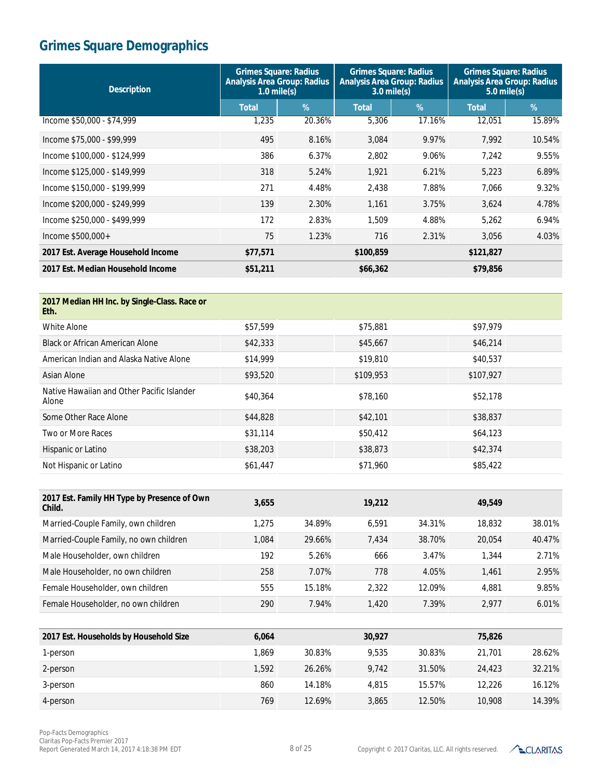| <b>Grimes Square: Radius</b><br><b>Analysis Area Group: Radius</b><br>$1.0$ mile(s) |        | <b>Grimes Square: Radius</b><br><b>Analysis Area Group: Radius</b><br>$3.0$ mile(s) |        | <b>Grimes Square: Radius</b><br><b>Analysis Area Group: Radius</b><br>$5.0$ mile(s) |        |
|-------------------------------------------------------------------------------------|--------|-------------------------------------------------------------------------------------|--------|-------------------------------------------------------------------------------------|--------|
| <b>Total</b>                                                                        | %      | <b>Total</b>                                                                        | %      | <b>Total</b>                                                                        | $\%$   |
| 1,235                                                                               | 20.36% | 5,306                                                                               | 17.16% | 12,051                                                                              | 15.89% |
| 495                                                                                 | 8.16%  | 3,084                                                                               | 9.97%  | 7,992                                                                               | 10.54% |
| 386                                                                                 | 6.37%  | 2,802                                                                               | 9.06%  | 7.242                                                                               | 9.55%  |
| 318                                                                                 | 5.24%  | 1,921                                                                               | 6.21%  | 5,223                                                                               | 6.89%  |
| 271                                                                                 | 4.48%  | 2,438                                                                               | 7.88%  | 7,066                                                                               | 9.32%  |
| 139                                                                                 | 2.30%  | 1,161                                                                               | 3.75%  | 3,624                                                                               | 4.78%  |
| 172                                                                                 | 2.83%  | 1.509                                                                               | 4.88%  | 5.262                                                                               | 6.94%  |
| 75                                                                                  | 1.23%  | 716                                                                                 | 2.31%  | 3,056                                                                               | 4.03%  |
| \$77,571                                                                            |        | \$100,859                                                                           |        | \$121,827                                                                           |        |
| \$51,211                                                                            |        | \$66,362                                                                            |        | \$79,856                                                                            |        |
|                                                                                     |        |                                                                                     |        |                                                                                     |        |

| 2017 Median HH Inc. by Single-Class. Race or<br>Eth.  |          |        |           |        |           |        |
|-------------------------------------------------------|----------|--------|-----------|--------|-----------|--------|
| <b>White Alone</b>                                    | \$57,599 |        | \$75,881  |        | \$97,979  |        |
| <b>Black or African American Alone</b>                | \$42,333 |        | \$45,667  |        | \$46,214  |        |
| American Indian and Alaska Native Alone               | \$14,999 |        | \$19,810  |        | \$40,537  |        |
| Asian Alone                                           | \$93,520 |        | \$109,953 |        | \$107,927 |        |
| Native Hawaiian and Other Pacific Islander<br>Alone   | \$40,364 |        | \$78,160  |        | \$52,178  |        |
| Some Other Race Alone                                 | \$44,828 |        | \$42,101  |        | \$38,837  |        |
| Two or More Races                                     | \$31,114 |        | \$50,412  |        | \$64,123  |        |
| Hispanic or Latino                                    | \$38,203 |        | \$38,873  |        | \$42,374  |        |
| Not Hispanic or Latino                                | \$61,447 |        | \$71,960  |        | \$85,422  |        |
|                                                       |          |        |           |        |           |        |
| 2017 Est. Family HH Type by Presence of Own<br>Child. | 3,655    |        | 19,212    |        | 49,549    |        |
| Married-Couple Family, own children                   | 1,275    | 34.89% | 6,591     | 34.31% | 18,832    | 38.01% |
| Married-Couple Family, no own children                | 1,084    | 29.66% | 7,434     | 38.70% | 20,054    | 40.47% |

| Male Householder, own children      | 192 | 5.26%  | 666   | 3.47%  | 1.344 | 2.71% |
|-------------------------------------|-----|--------|-------|--------|-------|-------|
| Male Householder, no own children   | 258 | 7.07%  | 778   | 4.05%  | '.461 | 2.95% |
| Female Householder, own children    | 555 | 15.18% | 2.322 | 12.09% | 4,881 | 9.85% |
| Female Householder, no own children | 290 | 7.94%  | .420  | 7.39%  | 2.977 | 6.01% |

| 2017 Est. Households by Household Size | 6.064 |        | 30.927 |        | 75,826 |        |
|----------------------------------------|-------|--------|--------|--------|--------|--------|
| 1-person                               | 1.869 | 30.83% | 9.535  | 30.83% | 21,701 | 28.62% |
| 2-person                               | 1.592 | 26.26% | 9.742  | 31.50% | 24,423 | 32.21% |
| 3-person                               | 860   | 14.18% | 4.815  | 15.57% | 12.226 | 16.12% |
| 4-person                               | 769   | 12.69% | 3.865  | 12.50% | 10,908 | 14.39% |

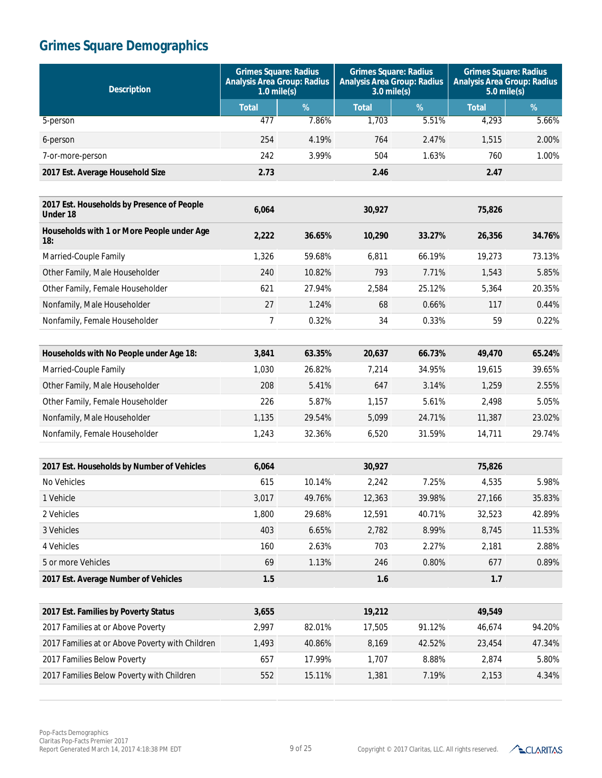| <b>Description</b>                                     | <b>Grimes Square: Radius</b><br><b>Analysis Area Group: Radius</b><br>$1.0$ mile(s) |        | <b>Grimes Square: Radius</b><br><b>Analysis Area Group: Radius</b><br>$3.0$ mile(s) |        | <b>Grimes Square: Radius</b><br><b>Analysis Area Group: Radius</b><br>$5.0$ mile(s) |        |
|--------------------------------------------------------|-------------------------------------------------------------------------------------|--------|-------------------------------------------------------------------------------------|--------|-------------------------------------------------------------------------------------|--------|
|                                                        | <b>Total</b>                                                                        | %      | <b>Total</b>                                                                        | %      | <b>Total</b>                                                                        | %      |
| 5-person                                               | 477                                                                                 | 7.86%  | 1,703                                                                               | 5.51%  | 4,293                                                                               | 5.66%  |
| 6-person                                               | 254                                                                                 | 4.19%  | 764                                                                                 | 2.47%  | 1,515                                                                               | 2.00%  |
| 7-or-more-person                                       | 242                                                                                 | 3.99%  | 504                                                                                 | 1.63%  | 760                                                                                 | 1.00%  |
| 2017 Est. Average Household Size                       | 2.73                                                                                |        | 2.46                                                                                |        | 2.47                                                                                |        |
|                                                        |                                                                                     |        |                                                                                     |        |                                                                                     |        |
| 2017 Est. Households by Presence of People<br>Under 18 | 6,064                                                                               |        | 30,927                                                                              |        | 75,826                                                                              |        |
| Households with 1 or More People under Age<br>18:      | 2,222                                                                               | 36.65% | 10,290                                                                              | 33.27% | 26,356                                                                              | 34.76% |
| Married-Couple Family                                  | 1,326                                                                               | 59.68% | 6,811                                                                               | 66.19% | 19,273                                                                              | 73.13% |
| Other Family, Male Householder                         | 240                                                                                 | 10.82% | 793                                                                                 | 7.71%  | 1,543                                                                               | 5.85%  |
| Other Family, Female Householder                       | 621                                                                                 | 27.94% | 2,584                                                                               | 25.12% | 5,364                                                                               | 20.35% |
| Nonfamily, Male Householder                            | 27                                                                                  | 1.24%  | 68                                                                                  | 0.66%  | 117                                                                                 | 0.44%  |
| Nonfamily, Female Householder                          | $\overline{7}$                                                                      | 0.32%  | 34                                                                                  | 0.33%  | 59                                                                                  | 0.22%  |
|                                                        |                                                                                     |        |                                                                                     |        |                                                                                     |        |
| Households with No People under Age 18:                | 3,841                                                                               | 63.35% | 20,637                                                                              | 66.73% | 49,470                                                                              | 65.24% |
| Married-Couple Family                                  | 1,030                                                                               | 26.82% | 7,214                                                                               | 34.95% | 19,615                                                                              | 39.65% |
| Other Family, Male Householder                         | 208                                                                                 | 5.41%  | 647                                                                                 | 3.14%  | 1,259                                                                               | 2.55%  |
| Other Family, Female Householder                       | 226                                                                                 | 5.87%  | 1,157                                                                               | 5.61%  | 2,498                                                                               | 5.05%  |
| Nonfamily, Male Householder                            | 1,135                                                                               | 29.54% | 5,099                                                                               | 24.71% | 11,387                                                                              | 23.02% |
| Nonfamily, Female Householder                          | 1,243                                                                               | 32.36% | 6,520                                                                               | 31.59% | 14,711                                                                              | 29.74% |
|                                                        |                                                                                     |        |                                                                                     |        |                                                                                     |        |
| 2017 Est. Households by Number of Vehicles             | 6,064                                                                               |        | 30,927                                                                              |        | 75,826                                                                              |        |
| No Vehicles                                            | 615                                                                                 | 10.14% | 2,242                                                                               | 7.25%  | 4,535                                                                               | 5.98%  |
| 1 Vehicle                                              | 3,017                                                                               | 49.76% | 12,363                                                                              | 39.98% | 27,166                                                                              | 35.83% |
| 2 Vehicles                                             | 1,800                                                                               | 29.68% | 12,591                                                                              | 40.71% | 32,523                                                                              | 42.89% |
| 3 Vehicles                                             | 403                                                                                 | 6.65%  | 2,782                                                                               | 8.99%  | 8,745                                                                               | 11.53% |
| 4 Vehicles                                             | 160                                                                                 | 2.63%  | 703                                                                                 | 2.27%  | 2,181                                                                               | 2.88%  |
| 5 or more Vehicles                                     | 69                                                                                  | 1.13%  | 246                                                                                 | 0.80%  | 677                                                                                 | 0.89%  |
| 2017 Est. Average Number of Vehicles                   | 1.5                                                                                 |        | 1.6                                                                                 |        | 1.7                                                                                 |        |
|                                                        |                                                                                     |        |                                                                                     |        |                                                                                     |        |
| 2017 Est. Families by Poverty Status                   | 3,655                                                                               |        | 19,212                                                                              |        | 49,549                                                                              |        |
| 2017 Families at or Above Poverty                      | 2,997                                                                               | 82.01% | 17,505                                                                              | 91.12% | 46,674                                                                              | 94.20% |
| 2017 Families at or Above Poverty with Children        | 1,493                                                                               | 40.86% | 8,169                                                                               | 42.52% | 23,454                                                                              | 47.34% |
| 2017 Families Below Poverty                            | 657                                                                                 | 17.99% | 1,707                                                                               | 8.88%  | 2,874                                                                               | 5.80%  |
| 2017 Families Below Poverty with Children              | 552                                                                                 | 15.11% | 1,381                                                                               | 7.19%  | 2,153                                                                               | 4.34%  |

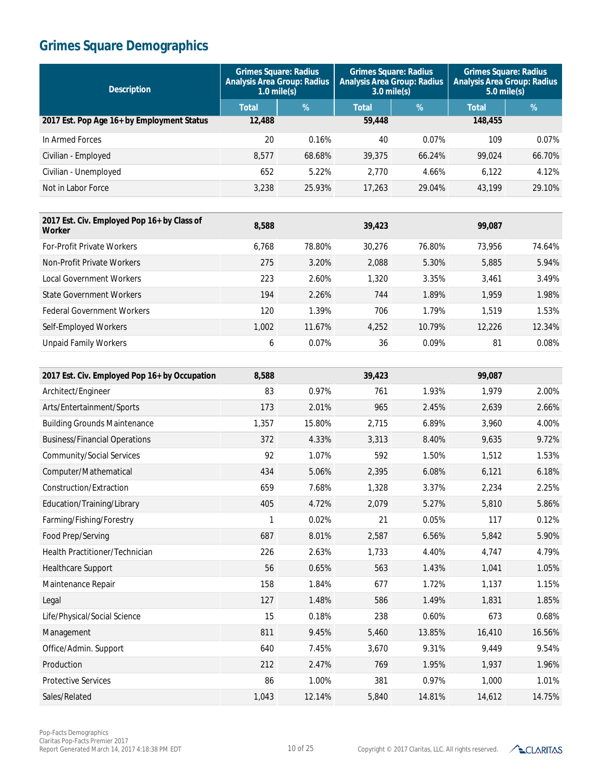| <b>Description</b>                                           | <b>Grimes Square: Radius</b><br><b>Analysis Area Group: Radius</b><br>$1.0$ mile(s) |        | <b>Grimes Square: Radius</b><br><b>Analysis Area Group: Radius</b><br>$3.0$ mile(s) |        | <b>Grimes Square: Radius</b><br><b>Analysis Area Group: Radius</b><br>$5.0$ mile(s) |        |
|--------------------------------------------------------------|-------------------------------------------------------------------------------------|--------|-------------------------------------------------------------------------------------|--------|-------------------------------------------------------------------------------------|--------|
|                                                              | <b>Total</b>                                                                        | $\%$   | <b>Total</b>                                                                        | %      | <b>Total</b>                                                                        | $\%$   |
| 2017 Est. Pop Age 16+ by Employment Status                   | 12,488                                                                              |        | 59,448                                                                              |        | 148,455                                                                             |        |
| In Armed Forces                                              | 20                                                                                  | 0.16%  | 40                                                                                  | 0.07%  | 109                                                                                 | 0.07%  |
| Civilian - Employed                                          | 8,577                                                                               | 68.68% | 39,375                                                                              | 66.24% | 99,024                                                                              | 66.70% |
| Civilian - Unemployed                                        | 652                                                                                 | 5.22%  | 2,770                                                                               | 4.66%  | 6,122                                                                               | 4.12%  |
| Not in Labor Force                                           | 3,238                                                                               | 25.93% | 17,263                                                                              | 29.04% | 43,199                                                                              | 29.10% |
|                                                              |                                                                                     |        |                                                                                     |        |                                                                                     |        |
| 2017 Est. Civ. Employed Pop 16+ by Class of<br><b>Worker</b> | 8,588                                                                               |        | 39,423                                                                              |        | 99,087                                                                              |        |
| For-Profit Private Workers                                   | 6,768                                                                               | 78.80% | 30,276                                                                              | 76.80% | 73,956                                                                              | 74.64% |
| Non-Profit Private Workers                                   | 275                                                                                 | 3.20%  | 2,088                                                                               | 5.30%  | 5,885                                                                               | 5.94%  |
| <b>Local Government Workers</b>                              | 223                                                                                 | 2.60%  | 1,320                                                                               | 3.35%  | 3,461                                                                               | 3.49%  |
| <b>State Government Workers</b>                              | 194                                                                                 | 2.26%  | 744                                                                                 | 1.89%  | 1,959                                                                               | 1.98%  |
| <b>Federal Government Workers</b>                            | 120                                                                                 | 1.39%  | 706                                                                                 | 1.79%  | 1,519                                                                               | 1.53%  |
| Self-Employed Workers                                        | 1,002                                                                               | 11.67% | 4,252                                                                               | 10.79% | 12,226                                                                              | 12.34% |
| <b>Unpaid Family Workers</b>                                 | 6                                                                                   | 0.07%  | 36                                                                                  | 0.09%  | 81                                                                                  | 0.08%  |
|                                                              |                                                                                     |        |                                                                                     |        |                                                                                     |        |
| 2017 Est. Civ. Employed Pop 16+ by Occupation                | 8,588                                                                               |        | 39,423                                                                              |        | 99,087                                                                              |        |
| Architect/Engineer                                           | 83                                                                                  | 0.97%  | 761                                                                                 | 1.93%  | 1,979                                                                               | 2.00%  |
| Arts/Entertainment/Sports                                    | 173                                                                                 | 2.01%  | 965                                                                                 | 2.45%  | 2,639                                                                               | 2.66%  |
| <b>Building Grounds Maintenance</b>                          | 1,357                                                                               | 15.80% | 2,715                                                                               | 6.89%  | 3,960                                                                               | 4.00%  |
| <b>Business/Financial Operations</b>                         | 372                                                                                 | 4.33%  | 3,313                                                                               | 8.40%  | 9,635                                                                               | 9.72%  |
| Community/Social Services                                    | 92                                                                                  | 1.07%  | 592                                                                                 | 1.50%  | 1,512                                                                               | 1.53%  |
| Computer/Mathematical                                        | 434                                                                                 | 5.06%  | 2,395                                                                               | 6.08%  | 6,121                                                                               | 6.18%  |
| Construction/Extraction                                      | 659                                                                                 | 7.68%  | 1,328                                                                               | 3.37%  | 2,234                                                                               | 2.25%  |
| Education/Training/Library                                   | 405                                                                                 | 4.72%  | 2,079                                                                               | 5.27%  | 5,810                                                                               | 5.86%  |
| Farming/Fishing/Forestry                                     | 1                                                                                   | 0.02%  | 21                                                                                  | 0.05%  | 117                                                                                 | 0.12%  |
| Food Prep/Serving                                            | 687                                                                                 | 8.01%  | 2,587                                                                               | 6.56%  | 5,842                                                                               | 5.90%  |
| Health Practitioner/Technician                               | 226                                                                                 | 2.63%  | 1,733                                                                               | 4.40%  | 4,747                                                                               | 4.79%  |
| Healthcare Support                                           | 56                                                                                  | 0.65%  | 563                                                                                 | 1.43%  | 1,041                                                                               | 1.05%  |
| Maintenance Repair                                           | 158                                                                                 | 1.84%  | 677                                                                                 | 1.72%  | 1,137                                                                               | 1.15%  |
| Legal                                                        | 127                                                                                 | 1.48%  | 586                                                                                 | 1.49%  | 1,831                                                                               | 1.85%  |
| Life/Physical/Social Science                                 | 15                                                                                  | 0.18%  | 238                                                                                 | 0.60%  | 673                                                                                 | 0.68%  |
| Management                                                   | 811                                                                                 | 9.45%  | 5,460                                                                               | 13.85% | 16,410                                                                              | 16.56% |
| Office/Admin. Support                                        | 640                                                                                 | 7.45%  | 3,670                                                                               | 9.31%  | 9,449                                                                               | 9.54%  |
| Production                                                   | 212                                                                                 | 2.47%  | 769                                                                                 | 1.95%  | 1,937                                                                               | 1.96%  |
| <b>Protective Services</b>                                   | 86                                                                                  | 1.00%  | 381                                                                                 | 0.97%  | 1,000                                                                               | 1.01%  |
| Sales/Related                                                | 1,043                                                                               | 12.14% | 5,840                                                                               | 14.81% | 14,612                                                                              | 14.75% |

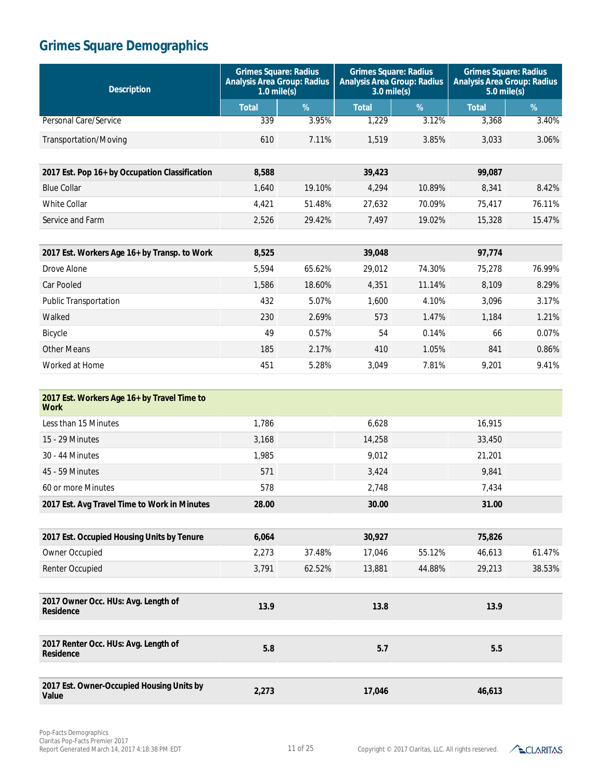| <b>Description</b>                                         | <b>Grimes Square: Radius</b><br><b>Analysis Area Group: Radius</b><br>$1.0$ mile(s) |        | <b>Grimes Square: Radius</b><br><b>Analysis Area Group: Radius</b><br>$3.0$ mile(s) |        | <b>Grimes Square: Radius</b><br><b>Analysis Area Group: Radius</b><br>$5.0$ mile(s) |        |
|------------------------------------------------------------|-------------------------------------------------------------------------------------|--------|-------------------------------------------------------------------------------------|--------|-------------------------------------------------------------------------------------|--------|
|                                                            | <b>Total</b>                                                                        | $\%$   | <b>Total</b>                                                                        | %      | <b>Total</b>                                                                        | $\%$   |
| <b>Personal Care/Service</b>                               | 339                                                                                 | 3.95%  | 1,229                                                                               | 3.12%  | 3,368                                                                               | 3.40%  |
| Transportation/Moving                                      | 610                                                                                 | 7.11%  | 1,519                                                                               | 3.85%  | 3,033                                                                               | 3.06%  |
|                                                            |                                                                                     |        |                                                                                     |        |                                                                                     |        |
| 2017 Est. Pop 16+ by Occupation Classification             | 8,588                                                                               |        | 39,423                                                                              |        | 99,087                                                                              |        |
| <b>Blue Collar</b>                                         | 1,640                                                                               | 19.10% | 4,294                                                                               | 10.89% | 8,341                                                                               | 8.42%  |
| <b>White Collar</b>                                        | 4,421                                                                               | 51.48% | 27,632                                                                              | 70.09% | 75,417                                                                              | 76.11% |
| Service and Farm                                           | 2,526                                                                               | 29.42% | 7,497                                                                               | 19.02% | 15,328                                                                              | 15.47% |
|                                                            |                                                                                     |        |                                                                                     |        |                                                                                     |        |
| 2017 Est. Workers Age 16+ by Transp. to Work               | 8,525                                                                               |        | 39,048                                                                              |        | 97,774                                                                              |        |
| Drove Alone                                                | 5,594                                                                               | 65.62% | 29,012                                                                              | 74.30% | 75,278                                                                              | 76.99% |
| Car Pooled                                                 | 1,586                                                                               | 18.60% | 4,351                                                                               | 11.14% | 8,109                                                                               | 8.29%  |
| Public Transportation                                      | 432                                                                                 | 5.07%  | 1,600                                                                               | 4.10%  | 3,096                                                                               | 3.17%  |
| Walked                                                     | 230                                                                                 | 2.69%  | 573                                                                                 | 1.47%  | 1,184                                                                               | 1.21%  |
| Bicycle                                                    | 49                                                                                  | 0.57%  | 54                                                                                  | 0.14%  | 66                                                                                  | 0.07%  |
| <b>Other Means</b>                                         | 185                                                                                 | 2.17%  | 410                                                                                 | 1.05%  | 841                                                                                 | 0.86%  |
| Worked at Home                                             | 451                                                                                 | 5.28%  | 3,049                                                                               | 7.81%  | 9,201                                                                               | 9.41%  |
|                                                            |                                                                                     |        |                                                                                     |        |                                                                                     |        |
| 2017 Est. Workers Age 16+ by Travel Time to<br><b>Work</b> |                                                                                     |        |                                                                                     |        |                                                                                     |        |
| Less than 15 Minutes                                       | 1,786                                                                               |        | 6,628                                                                               |        | 16,915                                                                              |        |
| 15 - 29 Minutes                                            | 3,168                                                                               |        | 14,258                                                                              |        | 33,450                                                                              |        |
| 30 - 44 Minutes                                            | 1,985                                                                               |        | 9,012                                                                               |        | 21,201                                                                              |        |
| 45 - 59 Minutes                                            | 571                                                                                 |        | 3,424                                                                               |        | 9,841                                                                               |        |
| 60 or more Minutes                                         | 578                                                                                 |        | 2,748                                                                               |        | 7,434                                                                               |        |
| 2017 Est. Avg Travel Time to Work in Minutes               | 28.00                                                                               |        | 30.00                                                                               |        | 31.00                                                                               |        |
|                                                            |                                                                                     |        |                                                                                     |        |                                                                                     |        |
| 2017 Est. Occupied Housing Units by Tenure                 | 6,064                                                                               |        | 30,927                                                                              |        | 75,826                                                                              |        |
| Owner Occupied                                             | 2,273                                                                               | 37.48% | 17,046                                                                              | 55.12% | 46,613                                                                              | 61.47% |
| Renter Occupied                                            | 3,791                                                                               | 62.52% | 13,881                                                                              | 44.88% | 29,213                                                                              | 38.53% |
|                                                            |                                                                                     |        |                                                                                     |        |                                                                                     |        |
| 2017 Owner Occ. HUs: Avg. Length of<br>Residence           | 13.9                                                                                |        | 13.8                                                                                |        | 13.9                                                                                |        |
| 2017 Renter Occ. HUs: Avg. Length of                       | 5.8                                                                                 |        | 5.7                                                                                 |        | $5.5\,$                                                                             |        |
| <b>Residence</b>                                           |                                                                                     |        |                                                                                     |        |                                                                                     |        |
| 2017 Est. Owner-Occupied Housing Units by<br><b>Value</b>  | 2,273                                                                               |        | 17,046                                                                              |        | 46,613                                                                              |        |

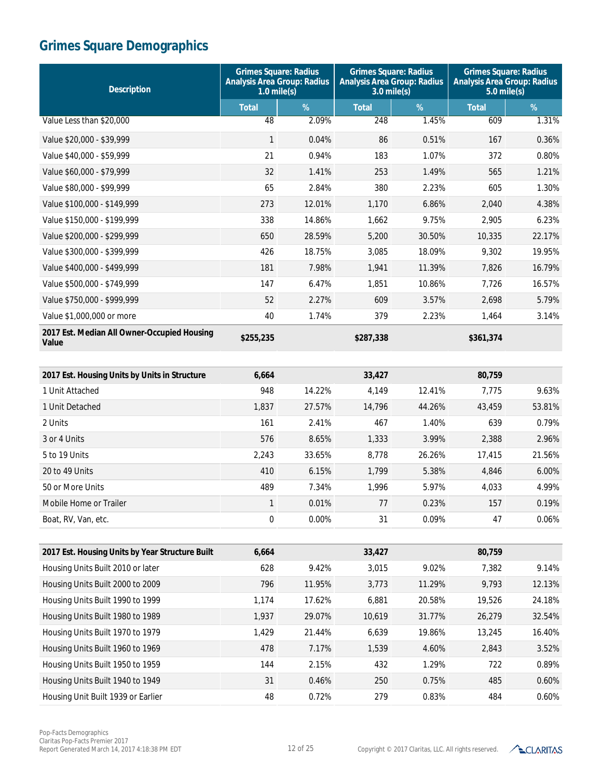| <b>Description</b>                                   | <b>Grimes Square: Radius</b><br><b>Analysis Area Group: Radius</b><br>$1.0$ mile(s) |        | <b>Grimes Square: Radius</b><br><b>Analysis Area Group: Radius</b><br>$3.0$ mile(s) |        | <b>Grimes Square: Radius</b><br><b>Analysis Area Group: Radius</b><br>$5.0$ mile(s) |        |
|------------------------------------------------------|-------------------------------------------------------------------------------------|--------|-------------------------------------------------------------------------------------|--------|-------------------------------------------------------------------------------------|--------|
|                                                      | <b>Total</b>                                                                        | %      | <b>Total</b>                                                                        | %      | <b>Total</b>                                                                        | %      |
| Value Less than \$20,000                             | 48                                                                                  | 2.09%  | 248                                                                                 | 1.45%  | 609                                                                                 | 1.31%  |
| Value \$20,000 - \$39,999                            | 1                                                                                   | 0.04%  | 86                                                                                  | 0.51%  | 167                                                                                 | 0.36%  |
| Value \$40,000 - \$59,999                            | 21                                                                                  | 0.94%  | 183                                                                                 | 1.07%  | 372                                                                                 | 0.80%  |
| Value \$60,000 - \$79,999                            | 32                                                                                  | 1.41%  | 253                                                                                 | 1.49%  | 565                                                                                 | 1.21%  |
| Value \$80,000 - \$99,999                            | 65                                                                                  | 2.84%  | 380                                                                                 | 2.23%  | 605                                                                                 | 1.30%  |
| Value \$100,000 - \$149,999                          | 273                                                                                 | 12.01% | 1,170                                                                               | 6.86%  | 2,040                                                                               | 4.38%  |
| Value \$150,000 - \$199,999                          | 338                                                                                 | 14.86% | 1,662                                                                               | 9.75%  | 2,905                                                                               | 6.23%  |
| Value \$200,000 - \$299,999                          | 650                                                                                 | 28.59% | 5,200                                                                               | 30.50% | 10,335                                                                              | 22.17% |
| Value \$300,000 - \$399,999                          | 426                                                                                 | 18.75% | 3,085                                                                               | 18.09% | 9,302                                                                               | 19.95% |
| Value \$400,000 - \$499,999                          | 181                                                                                 | 7.98%  | 1,941                                                                               | 11.39% | 7,826                                                                               | 16.79% |
| Value \$500,000 - \$749,999                          | 147                                                                                 | 6.47%  | 1,851                                                                               | 10.86% | 7,726                                                                               | 16.57% |
| Value \$750,000 - \$999,999                          | 52                                                                                  | 2.27%  | 609                                                                                 | 3.57%  | 2,698                                                                               | 5.79%  |
| Value \$1,000,000 or more                            | 40                                                                                  | 1.74%  | 379                                                                                 | 2.23%  | 1,464                                                                               | 3.14%  |
| 2017 Est. Median All Owner-Occupied Housing<br>Value | \$255,235                                                                           |        | \$287,338                                                                           |        | \$361,374                                                                           |        |
|                                                      |                                                                                     |        |                                                                                     |        |                                                                                     |        |
| 2017 Est. Housing Units by Units in Structure        | 6,664                                                                               |        | 33,427                                                                              |        | 80,759                                                                              |        |
| 1 Unit Attached                                      | 948                                                                                 | 14.22% | 4,149                                                                               | 12.41% | 7,775                                                                               | 9.63%  |
| 1 Unit Detached                                      | 1,837                                                                               | 27.57% | 14,796                                                                              | 44.26% | 43,459                                                                              | 53.81% |
| 2 Units                                              | 161                                                                                 | 2.41%  | 467                                                                                 | 1.40%  | 639                                                                                 | 0.79%  |
| 3 or 4 Units                                         | 576                                                                                 | 8.65%  | 1,333                                                                               | 3.99%  | 2,388                                                                               | 2.96%  |
| 5 to 19 Units                                        | 2,243                                                                               | 33.65% | 8,778                                                                               | 26.26% | 17,415                                                                              | 21.56% |
| 20 to 49 Units                                       | 410                                                                                 | 6.15%  | 1,799                                                                               | 5.38%  | 4,846                                                                               | 6.00%  |
| 50 or More Units                                     | 489                                                                                 | 7.34%  | 1,996                                                                               | 5.97%  | 4,033                                                                               | 4.99%  |
| Mobile Home or Trailer                               | 1                                                                                   | 0.01%  | 77                                                                                  | 0.23%  | 157                                                                                 | 0.19%  |
| Boat, RV, Van, etc.                                  | 0                                                                                   | 0.00%  | 31                                                                                  | 0.09%  | 47                                                                                  | 0.06%  |
|                                                      |                                                                                     |        |                                                                                     |        |                                                                                     |        |
| 2017 Est. Housing Units by Year Structure Built      | 6,664                                                                               |        | 33,427                                                                              |        | 80,759                                                                              |        |
| Housing Units Built 2010 or later                    | 628                                                                                 | 9.42%  | 3,015                                                                               | 9.02%  | 7,382                                                                               | 9.14%  |
| Housing Units Built 2000 to 2009                     | 796                                                                                 | 11.95% | 3,773                                                                               | 11.29% | 9,793                                                                               | 12.13% |
| Housing Units Built 1990 to 1999                     | 1,174                                                                               | 17.62% | 6,881                                                                               | 20.58% | 19,526                                                                              | 24.18% |
| Housing Units Built 1980 to 1989                     | 1,937                                                                               | 29.07% | 10,619                                                                              | 31.77% | 26,279                                                                              | 32.54% |
| Housing Units Built 1970 to 1979                     | 1,429                                                                               | 21.44% | 6,639                                                                               | 19.86% | 13,245                                                                              | 16.40% |
| Housing Units Built 1960 to 1969                     | 478                                                                                 | 7.17%  | 1,539                                                                               | 4.60%  | 2,843                                                                               | 3.52%  |
| Housing Units Built 1950 to 1959                     | 144                                                                                 | 2.15%  | 432                                                                                 | 1.29%  | 722                                                                                 | 0.89%  |
| Housing Units Built 1940 to 1949                     | 31                                                                                  | 0.46%  | 250                                                                                 | 0.75%  | 485                                                                                 | 0.60%  |
| Housing Unit Built 1939 or Earlier                   | 48                                                                                  | 0.72%  | 279                                                                                 | 0.83%  | 484                                                                                 | 0.60%  |

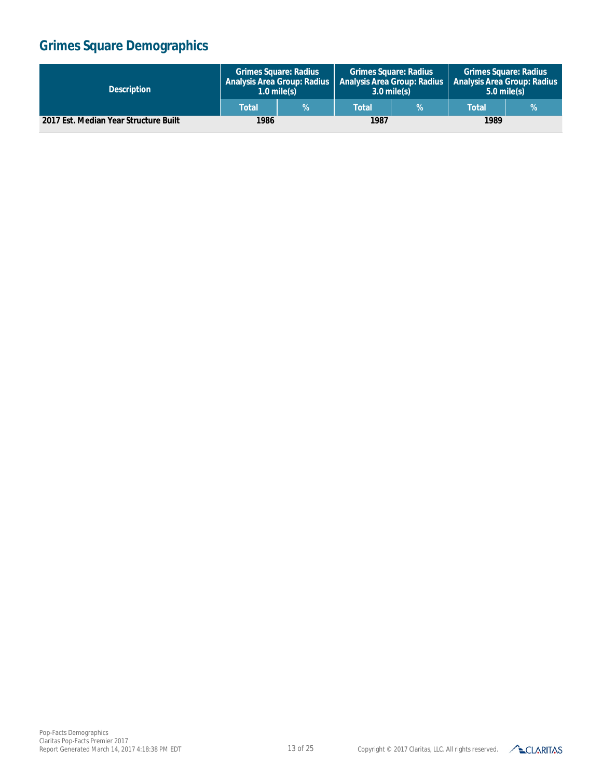| <b>Description</b>                    | <b>Grimes Square: Radius</b><br><b>Analysis Area Group: Radius</b><br>$1.0$ mile(s) |  | <b>Grimes Square: Radius</b><br><b>Analysis Area Group: Radius</b><br>$3.0$ mile(s) |    | <b>Grimes Square: Radius</b><br>' Analysis Area Group: Radius,<br>$5.0$ mile(s) |  |
|---------------------------------------|-------------------------------------------------------------------------------------|--|-------------------------------------------------------------------------------------|----|---------------------------------------------------------------------------------|--|
|                                       | Total                                                                               |  | <b>Total</b>                                                                        | V. | <b>Total</b>                                                                    |  |
| 2017 Est. Median Year Structure Built | 1986                                                                                |  | 1987                                                                                |    | 1989                                                                            |  |

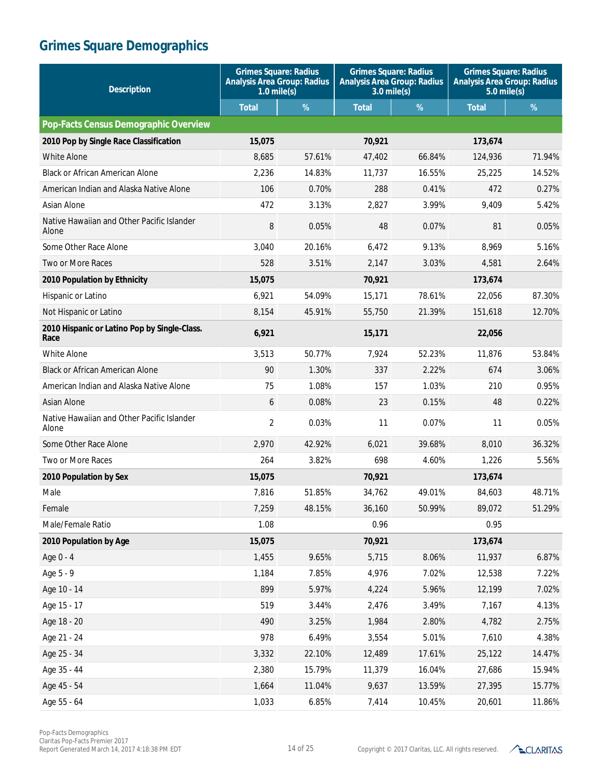| <b>Description</b>                                   | <b>Grimes Square: Radius</b><br><b>Analysis Area Group: Radius</b><br>$1.0$ mile(s) |        | <b>Grimes Square: Radius</b><br><b>Analysis Area Group: Radius</b><br>$3.0$ mile(s) |        | <b>Grimes Square: Radius</b><br><b>Analysis Area Group: Radius</b><br>$5.0$ mile(s) |        |
|------------------------------------------------------|-------------------------------------------------------------------------------------|--------|-------------------------------------------------------------------------------------|--------|-------------------------------------------------------------------------------------|--------|
|                                                      | <b>Total</b>                                                                        | %      | <b>Total</b>                                                                        | %      | <b>Total</b>                                                                        | %      |
| Pop-Facts Census Demographic Overview                |                                                                                     |        |                                                                                     |        |                                                                                     |        |
| 2010 Pop by Single Race Classification               | 15,075                                                                              |        | 70,921                                                                              |        | 173,674                                                                             |        |
| White Alone                                          | 8,685                                                                               | 57.61% | 47,402                                                                              | 66.84% | 124,936                                                                             | 71.94% |
| <b>Black or African American Alone</b>               | 2,236                                                                               | 14.83% | 11.737                                                                              | 16.55% | 25,225                                                                              | 14.52% |
| American Indian and Alaska Native Alone              | 106                                                                                 | 0.70%  | 288                                                                                 | 0.41%  | 472                                                                                 | 0.27%  |
| Asian Alone                                          | 472                                                                                 | 3.13%  | 2,827                                                                               | 3.99%  | 9,409                                                                               | 5.42%  |
| Native Hawaiian and Other Pacific Islander<br>Alone  | 8                                                                                   | 0.05%  | 48                                                                                  | 0.07%  | 81                                                                                  | 0.05%  |
| Some Other Race Alone                                | 3,040                                                                               | 20.16% | 6,472                                                                               | 9.13%  | 8,969                                                                               | 5.16%  |
| Two or More Races                                    | 528                                                                                 | 3.51%  | 2,147                                                                               | 3.03%  | 4,581                                                                               | 2.64%  |
| 2010 Population by Ethnicity                         | 15,075                                                                              |        | 70,921                                                                              |        | 173,674                                                                             |        |
| Hispanic or Latino                                   | 6,921                                                                               | 54.09% | 15,171                                                                              | 78.61% | 22,056                                                                              | 87.30% |
| Not Hispanic or Latino                               | 8,154                                                                               | 45.91% | 55,750                                                                              | 21.39% | 151,618                                                                             | 12.70% |
| 2010 Hispanic or Latino Pop by Single-Class.<br>Race | 6,921                                                                               |        | 15,171                                                                              |        | 22,056                                                                              |        |
| <b>White Alone</b>                                   | 3,513                                                                               | 50.77% | 7,924                                                                               | 52.23% | 11,876                                                                              | 53.84% |
| <b>Black or African American Alone</b>               | 90                                                                                  | 1.30%  | 337                                                                                 | 2.22%  | 674                                                                                 | 3.06%  |
| American Indian and Alaska Native Alone              | 75                                                                                  | 1.08%  | 157                                                                                 | 1.03%  | 210                                                                                 | 0.95%  |
| <b>Asian Alone</b>                                   | 6                                                                                   | 0.08%  | 23                                                                                  | 0.15%  | 48                                                                                  | 0.22%  |
| Native Hawaiian and Other Pacific Islander<br>Alone  | $\overline{2}$                                                                      | 0.03%  | 11                                                                                  | 0.07%  | 11                                                                                  | 0.05%  |
| Some Other Race Alone                                | 2,970                                                                               | 42.92% | 6,021                                                                               | 39.68% | 8,010                                                                               | 36.32% |
| Two or More Races                                    | 264                                                                                 | 3.82%  | 698                                                                                 | 4.60%  | 1,226                                                                               | 5.56%  |
| 2010 Population by Sex                               | 15,075                                                                              |        | 70,921                                                                              |        | 173,674                                                                             |        |
| Male                                                 | 7,816                                                                               | 51.85% | 34,762                                                                              | 49.01% | 84,603                                                                              | 48.71% |
| Female                                               | 7,259                                                                               | 48.15% | 36,160                                                                              | 50.99% | 89,072                                                                              | 51.29% |
| Male/Female Ratio                                    | 1.08                                                                                |        | 0.96                                                                                |        | 0.95                                                                                |        |
| 2010 Population by Age                               | 15,075                                                                              |        | 70,921                                                                              |        | 173,674                                                                             |        |
| Age 0 - 4                                            | 1,455                                                                               | 9.65%  | 5,715                                                                               | 8.06%  | 11,937                                                                              | 6.87%  |
| Age 5 - 9                                            | 1,184                                                                               | 7.85%  | 4,976                                                                               | 7.02%  | 12,538                                                                              | 7.22%  |
| Age 10 - 14                                          | 899                                                                                 | 5.97%  | 4,224                                                                               | 5.96%  | 12,199                                                                              | 7.02%  |
| Age 15 - 17                                          | 519                                                                                 | 3.44%  | 2,476                                                                               | 3.49%  | 7,167                                                                               | 4.13%  |
| Age 18 - 20                                          | 490                                                                                 | 3.25%  | 1,984                                                                               | 2.80%  | 4,782                                                                               | 2.75%  |
| Age 21 - 24                                          | 978                                                                                 | 6.49%  | 3,554                                                                               | 5.01%  | 7,610                                                                               | 4.38%  |
| Age 25 - 34                                          | 3,332                                                                               | 22.10% | 12,489                                                                              | 17.61% | 25,122                                                                              | 14.47% |
| Age 35 - 44                                          | 2,380                                                                               | 15.79% | 11,379                                                                              | 16.04% | 27,686                                                                              | 15.94% |
| Age 45 - 54                                          | 1,664                                                                               | 11.04% | 9,637                                                                               | 13.59% | 27,395                                                                              | 15.77% |
| Age 55 - 64                                          | 1,033                                                                               | 6.85%  | 7,414                                                                               | 10.45% | 20,601                                                                              | 11.86% |

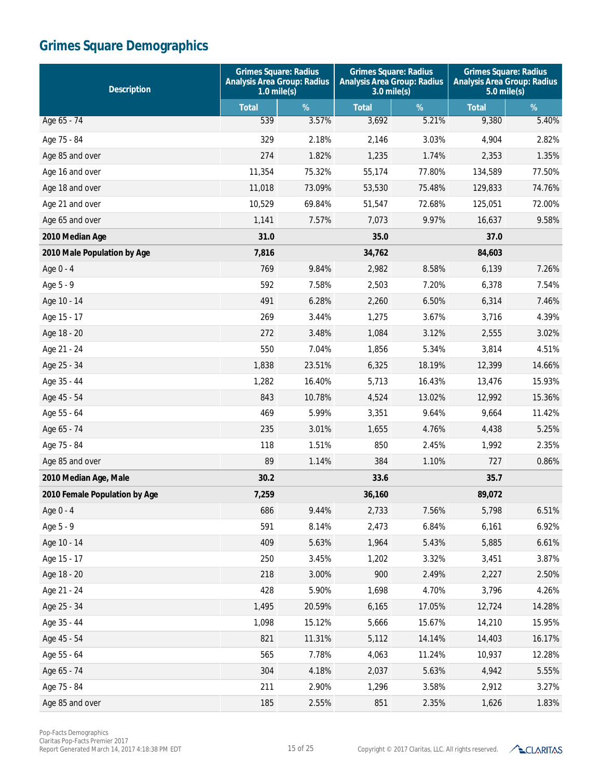| <b>Description</b>            | <b>Grimes Square: Radius</b><br><b>Analysis Area Group: Radius</b><br>$1.0$ mile(s) |        | <b>Grimes Square: Radius</b><br><b>Analysis Area Group: Radius</b><br>$3.0$ mile(s) |        | <b>Grimes Square: Radius</b><br><b>Analysis Area Group: Radius</b><br>$5.0$ mile(s) |        |
|-------------------------------|-------------------------------------------------------------------------------------|--------|-------------------------------------------------------------------------------------|--------|-------------------------------------------------------------------------------------|--------|
|                               | <b>Total</b>                                                                        | %      | <b>Total</b>                                                                        | %      | <b>Total</b>                                                                        | %      |
| Age 65 - 74                   | 539                                                                                 | 3.57%  | 3,692                                                                               | 5.21%  | 9,380                                                                               | 5.40%  |
| Age 75 - 84                   | 329                                                                                 | 2.18%  | 2,146                                                                               | 3.03%  | 4,904                                                                               | 2.82%  |
| Age 85 and over               | 274                                                                                 | 1.82%  | 1,235                                                                               | 1.74%  | 2,353                                                                               | 1.35%  |
| Age 16 and over               | 11,354                                                                              | 75.32% | 55,174                                                                              | 77.80% | 134,589                                                                             | 77.50% |
| Age 18 and over               | 11,018                                                                              | 73.09% | 53,530                                                                              | 75.48% | 129,833                                                                             | 74.76% |
| Age 21 and over               | 10,529                                                                              | 69.84% | 51,547                                                                              | 72.68% | 125,051                                                                             | 72.00% |
| Age 65 and over               | 1,141                                                                               | 7.57%  | 7,073                                                                               | 9.97%  | 16,637                                                                              | 9.58%  |
| 2010 Median Age               | 31.0                                                                                |        | 35.0                                                                                |        | 37.0                                                                                |        |
| 2010 Male Population by Age   | 7,816                                                                               |        | 34,762                                                                              |        | 84,603                                                                              |        |
| Age 0 - 4                     | 769                                                                                 | 9.84%  | 2,982                                                                               | 8.58%  | 6,139                                                                               | 7.26%  |
| Age 5 - 9                     | 592                                                                                 | 7.58%  | 2,503                                                                               | 7.20%  | 6,378                                                                               | 7.54%  |
| Age 10 - 14                   | 491                                                                                 | 6.28%  | 2,260                                                                               | 6.50%  | 6,314                                                                               | 7.46%  |
| Age 15 - 17                   | 269                                                                                 | 3.44%  | 1,275                                                                               | 3.67%  | 3,716                                                                               | 4.39%  |
| Age 18 - 20                   | 272                                                                                 | 3.48%  | 1,084                                                                               | 3.12%  | 2,555                                                                               | 3.02%  |
| Age 21 - 24                   | 550                                                                                 | 7.04%  | 1,856                                                                               | 5.34%  | 3,814                                                                               | 4.51%  |
| Age 25 - 34                   | 1,838                                                                               | 23.51% | 6,325                                                                               | 18.19% | 12,399                                                                              | 14.66% |
| Age 35 - 44                   | 1,282                                                                               | 16.40% | 5,713                                                                               | 16.43% | 13,476                                                                              | 15.93% |
| Age 45 - 54                   | 843                                                                                 | 10.78% | 4,524                                                                               | 13.02% | 12,992                                                                              | 15.36% |
| Age 55 - 64                   | 469                                                                                 | 5.99%  | 3,351                                                                               | 9.64%  | 9,664                                                                               | 11.42% |
| Age 65 - 74                   | 235                                                                                 | 3.01%  | 1,655                                                                               | 4.76%  | 4,438                                                                               | 5.25%  |
| Age 75 - 84                   | 118                                                                                 | 1.51%  | 850                                                                                 | 2.45%  | 1,992                                                                               | 2.35%  |
| Age 85 and over               | 89                                                                                  | 1.14%  | 384                                                                                 | 1.10%  | 727                                                                                 | 0.86%  |
| 2010 Median Age, Male         | 30.2                                                                                |        | 33.6                                                                                |        | 35.7                                                                                |        |
| 2010 Female Population by Age | 7,259                                                                               |        | 36,160                                                                              |        | 89,072                                                                              |        |
| Age 0 - 4                     | 686                                                                                 | 9.44%  | 2,733                                                                               | 7.56%  | 5,798                                                                               | 6.51%  |
| Age 5 - 9                     | 591                                                                                 | 8.14%  | 2,473                                                                               | 6.84%  | 6,161                                                                               | 6.92%  |
| Age 10 - 14                   | 409                                                                                 | 5.63%  | 1,964                                                                               | 5.43%  | 5,885                                                                               | 6.61%  |
| Age 15 - 17                   | 250                                                                                 | 3.45%  | 1,202                                                                               | 3.32%  | 3,451                                                                               | 3.87%  |
| Age 18 - 20                   | 218                                                                                 | 3.00%  | 900                                                                                 | 2.49%  | 2,227                                                                               | 2.50%  |
| Age 21 - 24                   | 428                                                                                 | 5.90%  | 1,698                                                                               | 4.70%  | 3,796                                                                               | 4.26%  |
| Age 25 - 34                   | 1,495                                                                               | 20.59% | 6,165                                                                               | 17.05% | 12,724                                                                              | 14.28% |
| Age 35 - 44                   | 1,098                                                                               | 15.12% | 5,666                                                                               | 15.67% | 14,210                                                                              | 15.95% |
| Age 45 - 54                   | 821                                                                                 | 11.31% | 5,112                                                                               | 14.14% | 14,403                                                                              | 16.17% |
| Age 55 - 64                   | 565                                                                                 | 7.78%  | 4,063                                                                               | 11.24% | 10,937                                                                              | 12.28% |
| Age 65 - 74                   | 304                                                                                 | 4.18%  | 2,037                                                                               | 5.63%  | 4,942                                                                               | 5.55%  |
| Age 75 - 84                   | 211                                                                                 | 2.90%  | 1,296                                                                               | 3.58%  | 2,912                                                                               | 3.27%  |
| Age 85 and over               | 185                                                                                 | 2.55%  | 851                                                                                 | 2.35%  | 1,626                                                                               | 1.83%  |

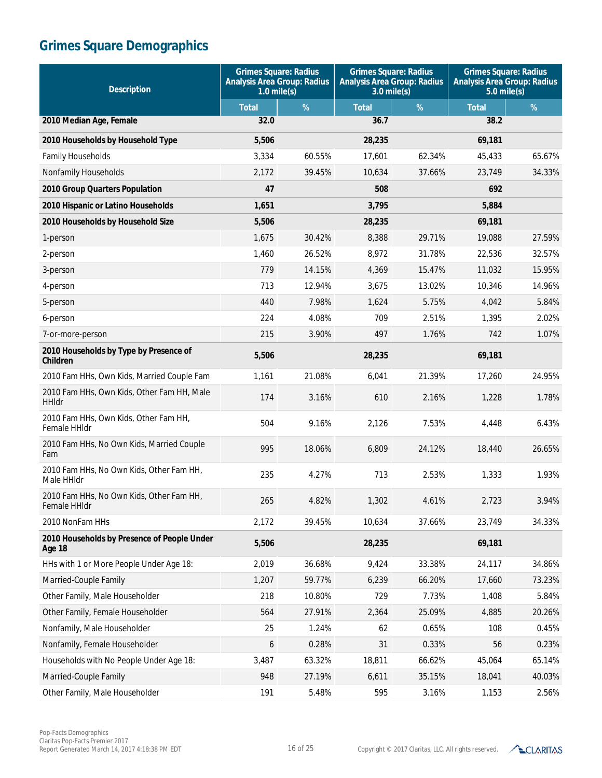| <b>Description</b>                                           | <b>Grimes Square: Radius</b><br><b>Analysis Area Group: Radius</b><br>$1.0$ mile(s) |        | <b>Grimes Square: Radius</b><br><b>Analysis Area Group: Radius</b><br>$3.0$ mile(s) |        | <b>Grimes Square: Radius</b><br><b>Analysis Area Group: Radius</b><br>$5.0$ mile(s) |        |
|--------------------------------------------------------------|-------------------------------------------------------------------------------------|--------|-------------------------------------------------------------------------------------|--------|-------------------------------------------------------------------------------------|--------|
|                                                              | <b>Total</b>                                                                        | %      | <b>Total</b>                                                                        | %      | <b>Total</b>                                                                        | $\%$   |
| 2010 Median Age, Female                                      | 32.0                                                                                |        | 36.7                                                                                |        | 38.2                                                                                |        |
| 2010 Households by Household Type                            | 5,506                                                                               |        | 28,235                                                                              |        | 69,181                                                                              |        |
| <b>Family Households</b>                                     | 3,334                                                                               | 60.55% | 17,601                                                                              | 62.34% | 45,433                                                                              | 65.67% |
| Nonfamily Households                                         | 2,172                                                                               | 39.45% | 10,634                                                                              | 37.66% | 23,749                                                                              | 34.33% |
| 2010 Group Quarters Population                               | 47                                                                                  |        | 508                                                                                 |        | 692                                                                                 |        |
| 2010 Hispanic or Latino Households                           | 1,651                                                                               |        | 3,795                                                                               |        | 5,884                                                                               |        |
| 2010 Households by Household Size                            | 5,506                                                                               |        | 28,235                                                                              |        | 69,181                                                                              |        |
| 1-person                                                     | 1,675                                                                               | 30.42% | 8,388                                                                               | 29.71% | 19,088                                                                              | 27.59% |
| 2-person                                                     | 1,460                                                                               | 26.52% | 8,972                                                                               | 31.78% | 22,536                                                                              | 32.57% |
| 3-person                                                     | 779                                                                                 | 14.15% | 4,369                                                                               | 15.47% | 11,032                                                                              | 15.95% |
| 4-person                                                     | 713                                                                                 | 12.94% | 3,675                                                                               | 13.02% | 10,346                                                                              | 14.96% |
| 5-person                                                     | 440                                                                                 | 7.98%  | 1.624                                                                               | 5.75%  | 4,042                                                                               | 5.84%  |
| 6-person                                                     | 224                                                                                 | 4.08%  | 709                                                                                 | 2.51%  | 1,395                                                                               | 2.02%  |
| 7-or-more-person                                             | 215                                                                                 | 3.90%  | 497                                                                                 | 1.76%  | 742                                                                                 | 1.07%  |
| 2010 Households by Type by Presence of<br><b>Children</b>    | 5,506                                                                               |        | 28,235                                                                              |        | 69,181                                                                              |        |
| 2010 Fam HHs, Own Kids, Married Couple Fam                   | 1,161                                                                               | 21.08% | 6,041                                                                               | 21.39% | 17,260                                                                              | 24.95% |
| 2010 Fam HHs, Own Kids, Other Fam HH, Male<br><b>HHIdr</b>   | 174                                                                                 | 3.16%  | 610                                                                                 | 2.16%  | 1,228                                                                               | 1.78%  |
| 2010 Fam HHs, Own Kids, Other Fam HH,<br>Female HHIdr        | 504                                                                                 | 9.16%  | 2,126                                                                               | 7.53%  | 4,448                                                                               | 6.43%  |
| 2010 Fam HHs, No Own Kids, Married Couple<br>Fam             | 995                                                                                 | 18.06% | 6,809                                                                               | 24.12% | 18,440                                                                              | 26.65% |
| 2010 Fam HHs, No Own Kids, Other Fam HH,<br>Male HHIdr       | 235                                                                                 | 4.27%  | 713                                                                                 | 2.53%  | 1,333                                                                               | 1.93%  |
| 2010 Fam HHs, No Own Kids, Other Fam HH,<br>Female HHIdr     | 265                                                                                 | 4.82%  | 1,302                                                                               | 4.61%  | 2,723                                                                               | 3.94%  |
| 2010 NonFam HHs                                              | 2,172                                                                               | 39.45% | 10,634                                                                              | 37.66% | 23,749                                                                              | 34.33% |
| 2010 Households by Presence of People Under<br><b>Age 18</b> | 5,506                                                                               |        | 28,235                                                                              |        | 69,181                                                                              |        |
| HHs with 1 or More People Under Age 18:                      | 2,019                                                                               | 36.68% | 9,424                                                                               | 33.38% | 24,117                                                                              | 34.86% |
| Married-Couple Family                                        | 1,207                                                                               | 59.77% | 6,239                                                                               | 66.20% | 17,660                                                                              | 73.23% |
| Other Family, Male Householder                               | 218                                                                                 | 10.80% | 729                                                                                 | 7.73%  | 1,408                                                                               | 5.84%  |
| Other Family, Female Householder                             | 564                                                                                 | 27.91% | 2,364                                                                               | 25.09% | 4,885                                                                               | 20.26% |
| Nonfamily, Male Householder                                  | 25                                                                                  | 1.24%  | 62                                                                                  | 0.65%  | 108                                                                                 | 0.45%  |
| Nonfamily, Female Householder                                | 6                                                                                   | 0.28%  | 31                                                                                  | 0.33%  | 56                                                                                  | 0.23%  |
| Households with No People Under Age 18:                      | 3,487                                                                               | 63.32% | 18,811                                                                              | 66.62% | 45,064                                                                              | 65.14% |
| Married-Couple Family                                        | 948                                                                                 | 27.19% | 6,611                                                                               | 35.15% | 18,041                                                                              | 40.03% |
| Other Family, Male Householder                               | 191                                                                                 | 5.48%  | 595                                                                                 | 3.16%  | 1,153                                                                               | 2.56%  |

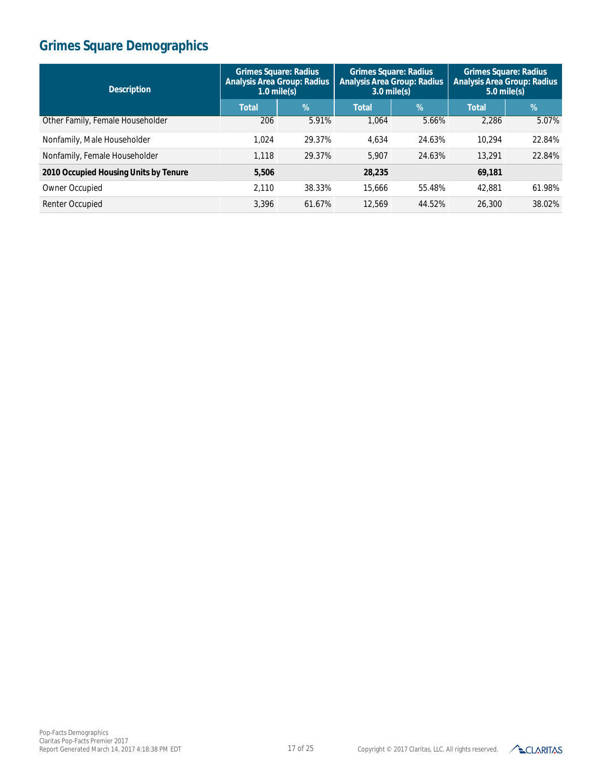| <b>Description</b>                    | <b>Grimes Square: Radius</b><br><b>Analysis Area Group: Radius</b><br>$1.0$ mile(s) |        | <b>Grimes Square: Radius</b><br><b>Analysis Area Group: Radius</b><br>$3.0$ mile(s) |        | <b>Grimes Square: Radius</b><br><b>Analysis Area Group: Radius</b><br>$5.0$ mile(s) |        |
|---------------------------------------|-------------------------------------------------------------------------------------|--------|-------------------------------------------------------------------------------------|--------|-------------------------------------------------------------------------------------|--------|
|                                       | <b>Total</b>                                                                        | %      | <b>Total</b>                                                                        | %      | <b>Total</b>                                                                        | %      |
| Other Family, Female Householder      | 206                                                                                 | 5.91%  | 1.064                                                                               | 5.66%  | 2.286                                                                               | 5.07%  |
| Nonfamily, Male Householder           | 1.024                                                                               | 29.37% | 4.634                                                                               | 24.63% | 10.294                                                                              | 22.84% |
| Nonfamily, Female Householder         | 1.118                                                                               | 29.37% | 5.907                                                                               | 24.63% | 13,291                                                                              | 22.84% |
| 2010 Occupied Housing Units by Tenure | 5,506                                                                               |        | 28,235                                                                              |        | 69,181                                                                              |        |
| Owner Occupied                        | 2.110                                                                               | 38.33% | 15,666                                                                              | 55.48% | 42,881                                                                              | 61.98% |
| Renter Occupied                       | 3.396                                                                               | 61.67% | 12.569                                                                              | 44.52% | 26,300                                                                              | 38.02% |

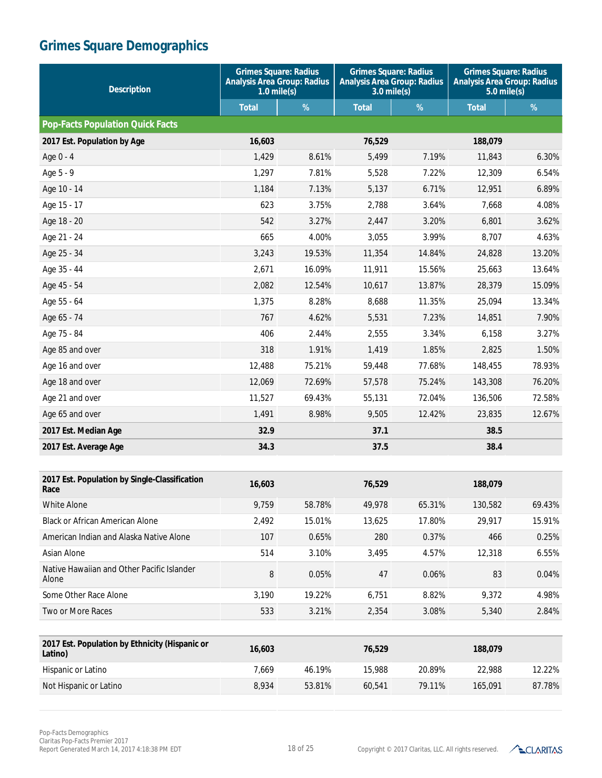| <b>Description</b>                                        | <b>Grimes Square: Radius</b><br><b>Analysis Area Group: Radius</b><br>$1.0$ mile(s) |        | <b>Grimes Square: Radius</b><br><b>Analysis Area Group: Radius</b><br>$3.0$ mile(s) |        | <b>Grimes Square: Radius</b><br><b>Analysis Area Group: Radius</b><br>$5.0$ mile(s) |        |
|-----------------------------------------------------------|-------------------------------------------------------------------------------------|--------|-------------------------------------------------------------------------------------|--------|-------------------------------------------------------------------------------------|--------|
|                                                           | <b>Total</b>                                                                        | $\%$   | <b>Total</b>                                                                        | %      | <b>Total</b>                                                                        | $\%$   |
| <b>Pop-Facts Population Quick Facts</b>                   |                                                                                     |        |                                                                                     |        |                                                                                     |        |
| 2017 Est. Population by Age                               | 16,603                                                                              |        | 76,529                                                                              |        | 188,079                                                                             |        |
| Age 0 - 4                                                 | 1,429                                                                               | 8.61%  | 5,499                                                                               | 7.19%  | 11,843                                                                              | 6.30%  |
| Age 5 - 9                                                 | 1,297                                                                               | 7.81%  | 5,528                                                                               | 7.22%  | 12,309                                                                              | 6.54%  |
| Age 10 - 14                                               | 1,184                                                                               | 7.13%  | 5,137                                                                               | 6.71%  | 12,951                                                                              | 6.89%  |
| Age 15 - 17                                               | 623                                                                                 | 3.75%  | 2,788                                                                               | 3.64%  | 7,668                                                                               | 4.08%  |
| Age 18 - 20                                               | 542                                                                                 | 3.27%  | 2,447                                                                               | 3.20%  | 6,801                                                                               | 3.62%  |
| Age 21 - 24                                               | 665                                                                                 | 4.00%  | 3,055                                                                               | 3.99%  | 8,707                                                                               | 4.63%  |
| Age 25 - 34                                               | 3,243                                                                               | 19.53% | 11,354                                                                              | 14.84% | 24,828                                                                              | 13.20% |
| Age 35 - 44                                               | 2,671                                                                               | 16.09% | 11,911                                                                              | 15.56% | 25,663                                                                              | 13.64% |
| Age 45 - 54                                               | 2,082                                                                               | 12.54% | 10,617                                                                              | 13.87% | 28,379                                                                              | 15.09% |
| Age 55 - 64                                               | 1,375                                                                               | 8.28%  | 8,688                                                                               | 11.35% | 25,094                                                                              | 13.34% |
| Age 65 - 74                                               | 767                                                                                 | 4.62%  | 5,531                                                                               | 7.23%  | 14,851                                                                              | 7.90%  |
| Age 75 - 84                                               | 406                                                                                 | 2.44%  | 2,555                                                                               | 3.34%  | 6,158                                                                               | 3.27%  |
| Age 85 and over                                           | 318                                                                                 | 1.91%  | 1,419                                                                               | 1.85%  | 2,825                                                                               | 1.50%  |
| Age 16 and over                                           | 12,488                                                                              | 75.21% | 59,448                                                                              | 77.68% | 148,455                                                                             | 78.93% |
| Age 18 and over                                           | 12,069                                                                              | 72.69% | 57,578                                                                              | 75.24% | 143,308                                                                             | 76.20% |
| Age 21 and over                                           | 11,527                                                                              | 69.43% | 55,131                                                                              | 72.04% | 136,506                                                                             | 72.58% |
| Age 65 and over                                           | 1,491                                                                               | 8.98%  | 9,505                                                                               | 12.42% | 23,835                                                                              | 12.67% |
| 2017 Est. Median Age                                      | 32.9                                                                                |        | 37.1                                                                                |        | 38.5                                                                                |        |
| 2017 Est. Average Age                                     | 34.3                                                                                |        | 37.5                                                                                |        | 38.4                                                                                |        |
| 2017 Est. Population by Single-Classification             | 16,603                                                                              |        | 76,529                                                                              |        | 188,079                                                                             |        |
| Race                                                      |                                                                                     |        |                                                                                     |        |                                                                                     |        |
| White Alone                                               | 9,759                                                                               | 58.78% | 49,978                                                                              | 65.31% | 130,582                                                                             | 69.43% |
| <b>Black or African American Alone</b>                    | 2,492                                                                               | 15.01% | 13,625                                                                              | 17.80% | 29,917                                                                              | 15.91% |
| American Indian and Alaska Native Alone                   | 107                                                                                 | 0.65%  | 280                                                                                 | 0.37%  | 466                                                                                 | 0.25%  |
| Asian Alone                                               | 514                                                                                 | 3.10%  | 3,495                                                                               | 4.57%  | 12,318                                                                              | 6.55%  |
| Native Hawaiian and Other Pacific Islander<br>Alone       | 8                                                                                   | 0.05%  | 47                                                                                  | 0.06%  | 83                                                                                  | 0.04%  |
| Some Other Race Alone                                     | 3,190                                                                               | 19.22% | 6,751                                                                               | 8.82%  | 9,372                                                                               | 4.98%  |
| Two or More Races                                         | 533                                                                                 | 3.21%  | 2,354                                                                               | 3.08%  | 5,340                                                                               | 2.84%  |
|                                                           |                                                                                     |        |                                                                                     |        |                                                                                     |        |
| 2017 Est. Population by Ethnicity (Hispanic or<br>Latino) | 16,603                                                                              |        | 76,529                                                                              |        | 188,079                                                                             |        |
| Hispanic or Latino                                        | 7,669                                                                               | 46.19% | 15,988                                                                              | 20.89% | 22,988                                                                              | 12.22% |
| Not Hispanic or Latino                                    | 8,934                                                                               | 53.81% | 60,541                                                                              | 79.11% | 165,091                                                                             | 87.78% |

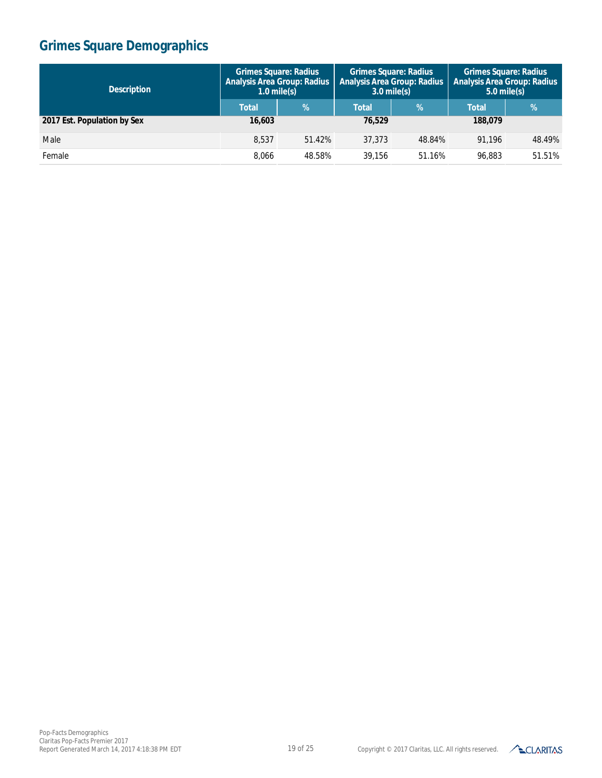| <b>Description</b>          | <b>Grimes Square: Radius</b><br><b>Analysis Area Group: Radius</b><br>$1.0$ mile(s) |        | <b>Grimes Square: Radius</b><br><b>Analysis Area Group: Radius</b><br>$3.0$ mile(s) |               | <b>Grimes Square: Radius</b><br><b>Analysis Area Group: Radius</b><br>$5.0$ mile(s) |               |
|-----------------------------|-------------------------------------------------------------------------------------|--------|-------------------------------------------------------------------------------------|---------------|-------------------------------------------------------------------------------------|---------------|
|                             | <b>Total</b>                                                                        | %      | <b>Total</b>                                                                        | $\frac{9}{6}$ | <b>Total</b>                                                                        | $\frac{9}{6}$ |
| 2017 Est. Population by Sex | 16,603                                                                              |        | 76,529                                                                              |               | 188,079                                                                             |               |
| Male                        | 8.537                                                                               | 51.42% | 37,373                                                                              | 48.84%        | 91.196                                                                              | 48.49%        |
| Female                      | 8.066                                                                               | 48.58% | 39.156                                                                              | 51.16%        | 96.883                                                                              | 51.51%        |

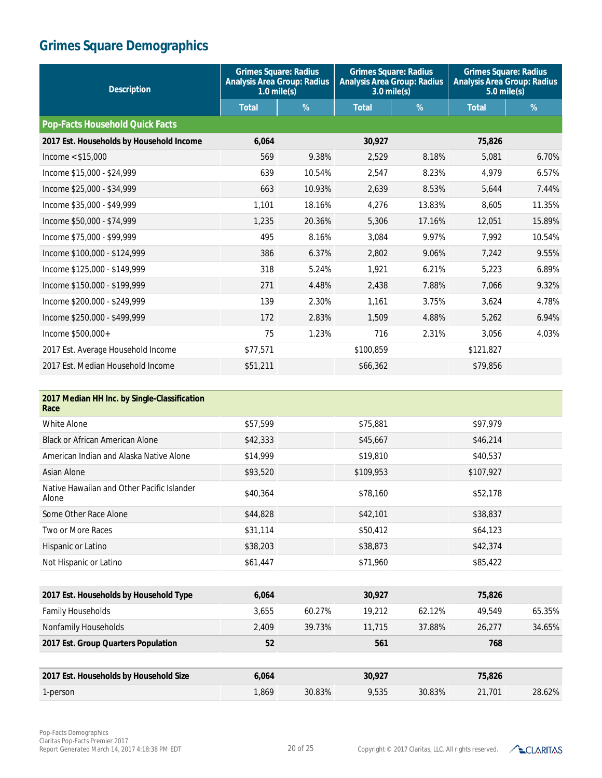| <b>Description</b>                       | <b>Grimes Square: Radius</b><br><b>Analysis Area Group: Radius</b><br>$1.0$ mile $(s)$ |        | <b>Grimes Square: Radius</b><br><b>Analysis Area Group: Radius</b><br>$3.0$ mile $(s)$ |        | <b>Grimes Square: Radius</b><br><b>Analysis Area Group: Radius</b><br>$5.0$ mile(s) |        |
|------------------------------------------|----------------------------------------------------------------------------------------|--------|----------------------------------------------------------------------------------------|--------|-------------------------------------------------------------------------------------|--------|
|                                          | <b>Total</b>                                                                           | %      | <b>Total</b>                                                                           | %      | <b>Total</b>                                                                        | %      |
| <b>Pop-Facts Household Quick Facts</b>   |                                                                                        |        |                                                                                        |        |                                                                                     |        |
| 2017 Est. Households by Household Income | 6,064                                                                                  |        | 30,927                                                                                 |        | 75,826                                                                              |        |
| Income $<$ \$15,000                      | 569                                                                                    | 9.38%  | 2,529                                                                                  | 8.18%  | 5,081                                                                               | 6.70%  |
| Income \$15,000 - \$24,999               | 639                                                                                    | 10.54% | 2.547                                                                                  | 8.23%  | 4.979                                                                               | 6.57%  |
| Income \$25,000 - \$34,999               | 663                                                                                    | 10.93% | 2.639                                                                                  | 8.53%  | 5.644                                                                               | 7.44%  |
| Income \$35,000 - \$49,999               | 1.101                                                                                  | 18.16% | 4.276                                                                                  | 13.83% | 8.605                                                                               | 11.35% |
| Income \$50,000 - \$74,999               | 1,235                                                                                  | 20.36% | 5,306                                                                                  | 17.16% | 12,051                                                                              | 15.89% |
| Income \$75,000 - \$99,999               | 495                                                                                    | 8.16%  | 3,084                                                                                  | 9.97%  | 7.992                                                                               | 10.54% |
| Income \$100,000 - \$124,999             | 386                                                                                    | 6.37%  | 2.802                                                                                  | 9.06%  | 7.242                                                                               | 9.55%  |
| Income \$125,000 - \$149,999             | 318                                                                                    | 5.24%  | 1,921                                                                                  | 6.21%  | 5,223                                                                               | 6.89%  |
| Income \$150,000 - \$199,999             | 271                                                                                    | 4.48%  | 2,438                                                                                  | 7.88%  | 7,066                                                                               | 9.32%  |
| Income \$200,000 - \$249,999             | 139                                                                                    | 2.30%  | 1.161                                                                                  | 3.75%  | 3.624                                                                               | 4.78%  |
| Income \$250,000 - \$499,999             | 172                                                                                    | 2.83%  | 1.509                                                                                  | 4.88%  | 5.262                                                                               | 6.94%  |
| Income \$500,000+                        | 75                                                                                     | 1.23%  | 716                                                                                    | 2.31%  | 3,056                                                                               | 4.03%  |
| 2017 Est. Average Household Income       | \$77,571                                                                               |        | \$100,859                                                                              |        | \$121,827                                                                           |        |
| 2017 Est. Median Household Income        | \$51,211                                                                               |        | \$66,362                                                                               |        | \$79,856                                                                            |        |

| 2017 Median HH Inc. by Single-Classification<br>Race |          |        |           |        |           |        |
|------------------------------------------------------|----------|--------|-----------|--------|-----------|--------|
| <b>White Alone</b>                                   | \$57,599 |        | \$75,881  |        | \$97,979  |        |
| <b>Black or African American Alone</b>               | \$42,333 |        | \$45,667  |        | \$46,214  |        |
| American Indian and Alaska Native Alone              | \$14,999 |        | \$19,810  |        | \$40,537  |        |
| Asian Alone                                          | \$93,520 |        | \$109,953 |        | \$107,927 |        |
| Native Hawaiian and Other Pacific Islander<br>Alone  | \$40,364 |        | \$78,160  |        | \$52,178  |        |
| Some Other Race Alone                                | \$44,828 |        | \$42,101  |        | \$38,837  |        |
| Two or More Races                                    | \$31,114 |        | \$50,412  |        | \$64,123  |        |
| Hispanic or Latino                                   | \$38,203 |        | \$38,873  |        | \$42,374  |        |
| Not Hispanic or Latino                               | \$61,447 |        | \$71,960  |        | \$85,422  |        |
|                                                      |          |        |           |        |           |        |
| 2017 Est. Households by Household Type               | 6,064    |        | 30,927    |        | 75,826    |        |
| <b>Family Households</b>                             | 3,655    | 60.27% | 19,212    | 62.12% | 49,549    | 65.35% |
| Nonfamily Households                                 | 2,409    | 39.73% | 11,715    | 37.88% | 26,277    | 34.65% |
| 2017 Est. Group Quarters Population                  | 52       |        | 561       |        | 768       |        |
|                                                      |          |        |           |        |           |        |
| 2017 Est. Households by Household Size               | 6,064    |        | 30,927    |        | 75,826    |        |
| 1-person                                             | 1,869    | 30.83% | 9,535     | 30.83% | 21,701    | 28.62% |
|                                                      |          |        |           |        |           |        |

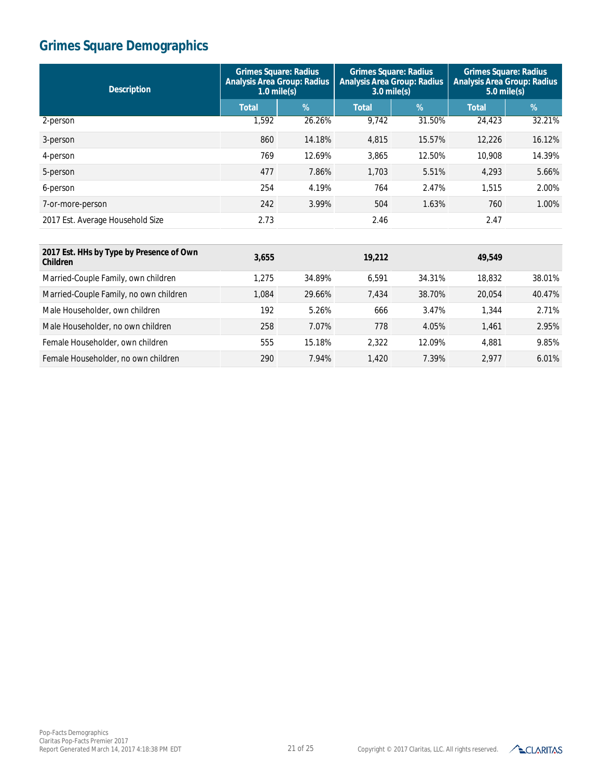| <b>Description</b>               | <b>Grimes Square: Radius</b><br><b>Analysis Area Group: Radius</b><br>$1.0$ mile(s) |        | <b>Grimes Square: Radius</b><br><b>Analysis Area Group: Radius</b><br>$3.0$ mile(s) |        | <b>Grimes Square: Radius</b><br><b>Analysis Area Group: Radius</b><br>$5.0$ mile(s) |            |
|----------------------------------|-------------------------------------------------------------------------------------|--------|-------------------------------------------------------------------------------------|--------|-------------------------------------------------------------------------------------|------------|
|                                  | <b>Total</b>                                                                        | $\%$   | <b>Total</b>                                                                        | %      | <b>Total</b>                                                                        | $\sqrt{2}$ |
| 2-person                         | 1,592                                                                               | 26.26% | 9.742                                                                               | 31.50% | 24,423                                                                              | 32.21%     |
| 3-person                         | 860                                                                                 | 14.18% | 4,815                                                                               | 15.57% | 12,226                                                                              | 16.12%     |
| 4-person                         | 769                                                                                 | 12.69% | 3,865                                                                               | 12.50% | 10,908                                                                              | 14.39%     |
| 5-person                         | 477                                                                                 | 7.86%  | 1.703                                                                               | 5.51%  | 4.293                                                                               | 5.66%      |
| 6-person                         | 254                                                                                 | 4.19%  | 764                                                                                 | 2.47%  | 1.515                                                                               | 2.00%      |
| 7-or-more-person                 | 242                                                                                 | 3.99%  | 504                                                                                 | 1.63%  | 760                                                                                 | 1.00%      |
| 2017 Est. Average Household Size | 2.73                                                                                |        | 2.46                                                                                |        | 2.47                                                                                |            |

| 2017 Est. HHs by Type by Presence of Own<br><b>Children</b> | 3,655 |        | 19,212 |        | 49.549 |        |
|-------------------------------------------------------------|-------|--------|--------|--------|--------|--------|
| Married-Couple Family, own children                         | 1.275 | 34.89% | 6.591  | 34.31% | 18,832 | 38.01% |
| Married-Couple Family, no own children                      | 1.084 | 29.66% | 7.434  | 38.70% | 20.054 | 40.47% |
| Male Householder, own children                              | 192   | 5.26%  | 666    | 3.47%  | 1.344  | 2.71%  |
| Male Householder, no own children                           | 258   | 7.07%  | 778    | 4.05%  | 1.461  | 2.95%  |
| Female Householder, own children                            | 555   | 15.18% | 2.322  | 12.09% | 4,881  | 9.85%  |
| Female Householder, no own children                         | 290   | 7.94%  | 1.420  | 7.39%  | 2.977  | 6.01%  |

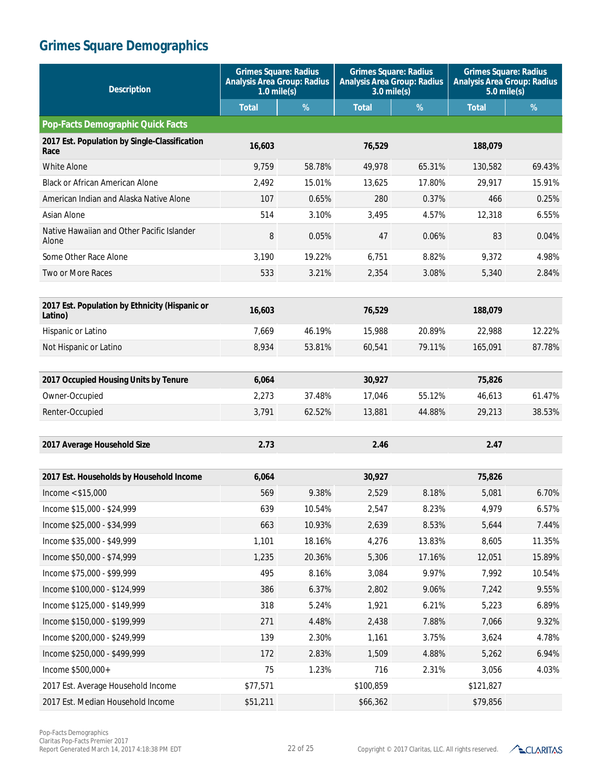| <b>Description</b>                                        | <b>Grimes Square: Radius</b><br><b>Analysis Area Group: Radius</b><br>$1.0$ mile(s) |        | <b>Grimes Square: Radius</b><br><b>Analysis Area Group: Radius</b><br>$3.0$ mile(s) |        | <b>Grimes Square: Radius</b><br><b>Analysis Area Group: Radius</b><br>$5.0$ mile(s) |        |
|-----------------------------------------------------------|-------------------------------------------------------------------------------------|--------|-------------------------------------------------------------------------------------|--------|-------------------------------------------------------------------------------------|--------|
|                                                           | <b>Total</b>                                                                        | $\%$   | <b>Total</b>                                                                        | %      | <b>Total</b>                                                                        | $\%$   |
| <b>Pop-Facts Demographic Quick Facts</b>                  |                                                                                     |        |                                                                                     |        |                                                                                     |        |
| 2017 Est. Population by Single-Classification<br>Race     | 16,603                                                                              |        | 76,529                                                                              |        | 188,079                                                                             |        |
| <b>White Alone</b>                                        | 9,759                                                                               | 58.78% | 49,978                                                                              | 65.31% | 130,582                                                                             | 69.43% |
| <b>Black or African American Alone</b>                    | 2,492                                                                               | 15.01% | 13,625                                                                              | 17.80% | 29,917                                                                              | 15.91% |
| American Indian and Alaska Native Alone                   | 107                                                                                 | 0.65%  | 280                                                                                 | 0.37%  | 466                                                                                 | 0.25%  |
| Asian Alone                                               | 514                                                                                 | 3.10%  | 3,495                                                                               | 4.57%  | 12,318                                                                              | 6.55%  |
| Native Hawaiian and Other Pacific Islander<br>Alone       | 8                                                                                   | 0.05%  | 47                                                                                  | 0.06%  | 83                                                                                  | 0.04%  |
| Some Other Race Alone                                     | 3,190                                                                               | 19.22% | 6,751                                                                               | 8.82%  | 9,372                                                                               | 4.98%  |
| Two or More Races                                         | 533                                                                                 | 3.21%  | 2,354                                                                               | 3.08%  | 5,340                                                                               | 2.84%  |
|                                                           |                                                                                     |        |                                                                                     |        |                                                                                     |        |
| 2017 Est. Population by Ethnicity (Hispanic or<br>Latino) | 16,603                                                                              |        | 76,529                                                                              |        | 188,079                                                                             |        |
| Hispanic or Latino                                        | 7,669                                                                               | 46.19% | 15,988                                                                              | 20.89% | 22,988                                                                              | 12.22% |
| Not Hispanic or Latino                                    | 8,934                                                                               | 53.81% | 60,541                                                                              | 79.11% | 165.091                                                                             | 87.78% |
|                                                           |                                                                                     |        |                                                                                     |        |                                                                                     |        |
| 2017 Occupied Housing Units by Tenure                     | 6,064                                                                               |        | 30,927                                                                              |        | 75,826                                                                              |        |
| Owner-Occupied                                            | 2,273                                                                               | 37.48% | 17,046                                                                              | 55.12% | 46,613                                                                              | 61.47% |
| Renter-Occupied                                           | 3,791                                                                               | 62.52% | 13,881                                                                              | 44.88% | 29,213                                                                              | 38.53% |
|                                                           |                                                                                     |        |                                                                                     |        |                                                                                     |        |
| 2017 Average Household Size                               | 2.73                                                                                |        | 2.46                                                                                |        | 2.47                                                                                |        |
|                                                           |                                                                                     |        |                                                                                     |        |                                                                                     |        |
| 2017 Est. Households by Household Income                  | 6,064                                                                               |        | 30,927                                                                              |        | 75,826                                                                              |        |
| Income $<$ \$15,000                                       | 569                                                                                 | 9.38%  | 2,529                                                                               | 8.18%  | 5,081                                                                               | 6.70%  |
| Income \$15,000 - \$24,999                                | 639                                                                                 | 10.54% | 2,547                                                                               | 8.23%  | 4,979                                                                               | 6.57%  |
| Income \$25,000 - \$34,999                                | 663                                                                                 | 10.93% | 2,639                                                                               | 8.53%  | 5,644                                                                               | 7.44%  |
| Income \$35,000 - \$49,999                                | 1,101                                                                               | 18.16% | 4,276                                                                               | 13.83% | 8,605                                                                               | 11.35% |
| Income \$50,000 - \$74,999                                | 1,235                                                                               | 20.36% | 5,306                                                                               | 17.16% | 12,051                                                                              | 15.89% |
| Income \$75,000 - \$99,999                                | 495                                                                                 | 8.16%  | 3,084                                                                               | 9.97%  | 7,992                                                                               | 10.54% |
| Income \$100,000 - \$124,999                              | 386                                                                                 | 6.37%  | 2,802                                                                               | 9.06%  | 7,242                                                                               | 9.55%  |
| Income \$125,000 - \$149,999                              | 318                                                                                 | 5.24%  | 1,921                                                                               | 6.21%  | 5,223                                                                               | 6.89%  |
| Income \$150,000 - \$199,999                              | 271                                                                                 | 4.48%  | 2,438                                                                               | 7.88%  | 7,066                                                                               | 9.32%  |
| Income \$200,000 - \$249,999                              | 139                                                                                 | 2.30%  | 1,161                                                                               | 3.75%  | 3,624                                                                               | 4.78%  |
| Income \$250,000 - \$499,999                              | 172                                                                                 | 2.83%  | 1,509                                                                               | 4.88%  | 5,262                                                                               | 6.94%  |
| Income \$500,000+                                         | 75                                                                                  | 1.23%  | 716                                                                                 | 2.31%  | 3,056                                                                               | 4.03%  |
| 2017 Est. Average Household Income                        | \$77,571                                                                            |        | \$100,859                                                                           |        | \$121,827                                                                           |        |
| 2017 Est. Median Household Income                         | \$51,211                                                                            |        | \$66,362                                                                            |        | \$79,856                                                                            |        |

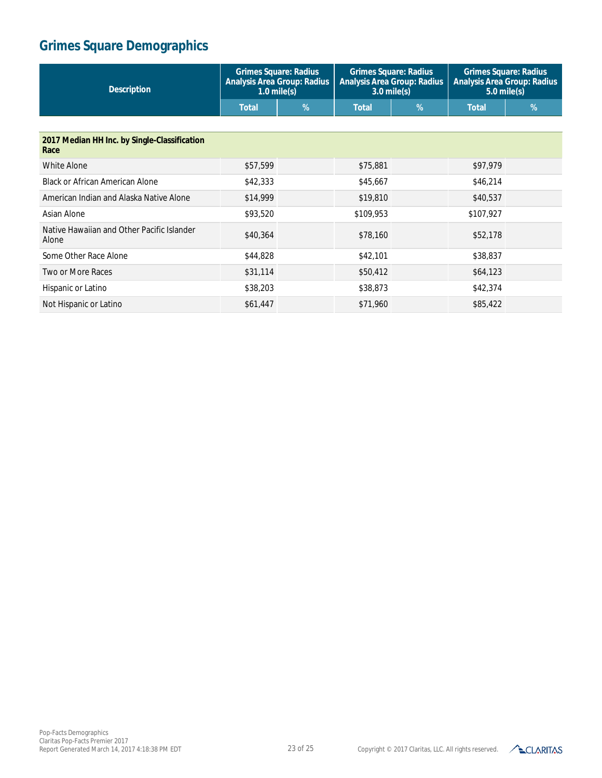| <b>Description</b>                                   | <b>Grimes Square: Radius</b><br><b>Analysis Area Group: Radius</b><br>$1.0$ mile(s) |   | <b>Grimes Square: Radius</b><br><b>Analysis Area Group: Radius</b><br>$3.0$ mile(s) |   | <b>Grimes Square: Radius</b><br><b>Analysis Area Group: Radius</b><br>$5.0$ mile(s) |   |
|------------------------------------------------------|-------------------------------------------------------------------------------------|---|-------------------------------------------------------------------------------------|---|-------------------------------------------------------------------------------------|---|
|                                                      | <b>Total</b>                                                                        | % | <b>Total</b>                                                                        | % | <b>Total</b>                                                                        | % |
|                                                      |                                                                                     |   |                                                                                     |   |                                                                                     |   |
| 2017 Median HH Inc. by Single-Classification<br>Race |                                                                                     |   |                                                                                     |   |                                                                                     |   |
| <b>White Alone</b>                                   | \$57,599                                                                            |   | \$75,881                                                                            |   | \$97,979                                                                            |   |
| <b>Black or African American Alone</b>               | \$42,333                                                                            |   | \$45,667                                                                            |   | \$46,214                                                                            |   |
| American Indian and Alaska Native Alone              | \$14,999                                                                            |   | \$19,810                                                                            |   | \$40,537                                                                            |   |
| Asian Alone                                          | \$93,520                                                                            |   | \$109,953                                                                           |   | \$107,927                                                                           |   |
| Native Hawaiian and Other Pacific Islander<br>Alone  | \$40,364                                                                            |   | \$78,160                                                                            |   | \$52,178                                                                            |   |
| Some Other Race Alone                                | \$44,828                                                                            |   | \$42,101                                                                            |   | \$38,837                                                                            |   |
| <b>Two or More Races</b>                             | \$31,114                                                                            |   | \$50,412                                                                            |   | \$64,123                                                                            |   |
| Hispanic or Latino                                   | \$38,203                                                                            |   | \$38,873                                                                            |   | \$42,374                                                                            |   |
| Not Hispanic or Latino                               | \$61,447                                                                            |   | \$71,960                                                                            |   | \$85,422                                                                            |   |

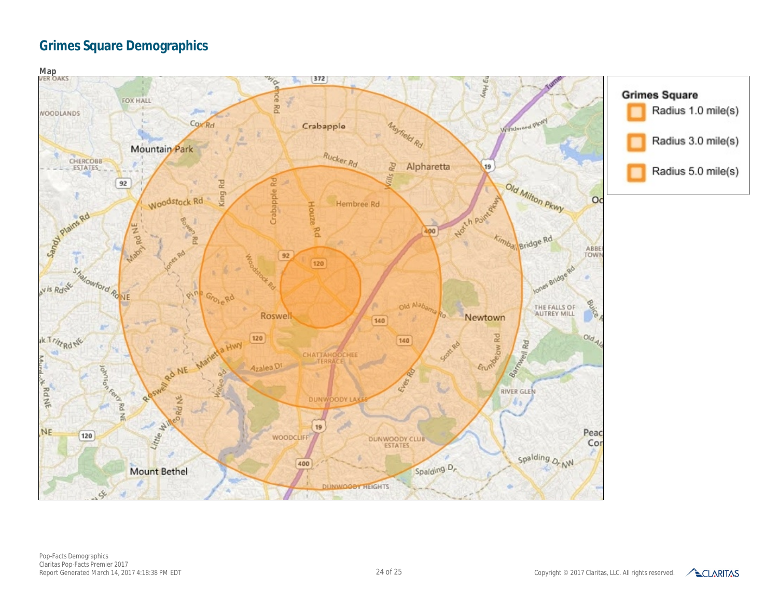